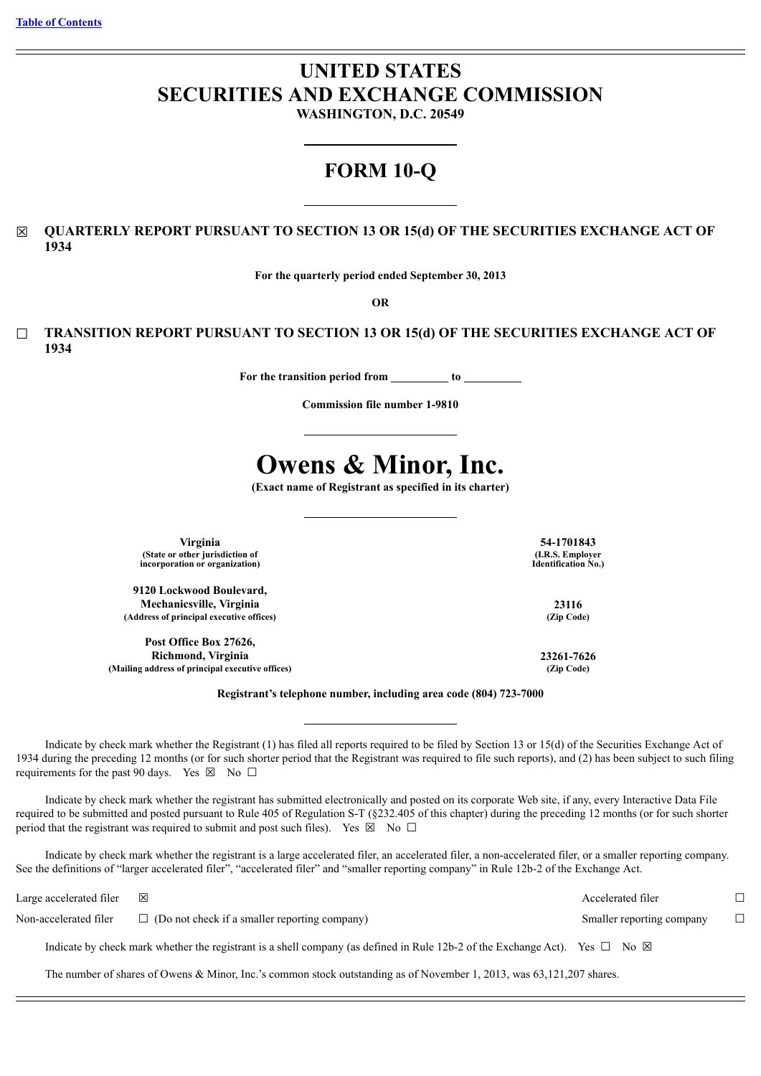# **UNITED STATES SECURITIES AND EXCHANGE COMMISSION**

**WASHINGTON, D.C. 20549**

## **FORM 10-Q**

☒ **QUARTERLY REPORT PURSUANT TO SECTION 13 OR 15(d) OF THE SECURITIES EXCHANGE ACT OF 1934**

**For the quarterly period ended September 30, 2013**

**OR**

☐ **TRANSITION REPORT PURSUANT TO SECTION 13 OR 15(d) OF THE SECURITIES EXCHANGE ACT OF 1934**

**For the transition period from to**

**Commission file number 1-9810**

# **Owens & Minor, Inc.**

**(Exact name of Registrant as specified in its charter)**

**Virginia 54-1701843 (State or other jurisdiction of incorporation or organization)**

**9120 Lockwood Boulevard, Mechanicsville, Virginia 23116 (Address of principal executive offices) (Zip Code)**

**Post Office Box 27626, Richmond, Virginia 23261-7626 (Mailing address of principal executive offices) (Zip Code)**

**Registrant's telephone number, including area code (804) 723-7000**

Indicate by check mark whether the Registrant (1) has filed all reports required to be filed by Section 13 or 15(d) of the Securities Exchange Act of 1934 during the preceding 12 months (or for such shorter period that the Registrant was required to file such reports), and (2) has been subject to such filing requirements for the past 90 days. Yes  $\boxtimes$  No  $\Box$ 

Indicate by check mark whether the registrant has submitted electronically and posted on its corporate Web site, if any, every Interactive Data File required to be submitted and posted pursuant to Rule 405 of Regulation S-T (§232.405 of this chapter) during the preceding 12 months (or for such shorter period that the registrant was required to submit and post such files). Yes  $\boxtimes$  No  $\Box$ 

Indicate by check mark whether the registrant is a large accelerated filer, an accelerated filer, a non-accelerated filer, or a smaller reporting company. See the definitions of "larger accelerated filer", "accelerated filer" and "smaller reporting company" in Rule 12b-2 of the Exchange Act.

Large accelerated filer ☒ Accelerated filer ☐ Non-accelerated filer  $□$  (Do not check if a smaller reporting company) Smaller reporting company  $□$ Indicate by check mark whether the registrant is a shell company (as defined in Rule 12b-2 of the Exchange Act). Yes  $\Box$  No  $\boxtimes$ 

The number of shares of Owens & Minor, Inc.'s common stock outstanding as of November 1, 2013, was 63,121,207 shares.

**(I.R.S. Employer Identification No.)**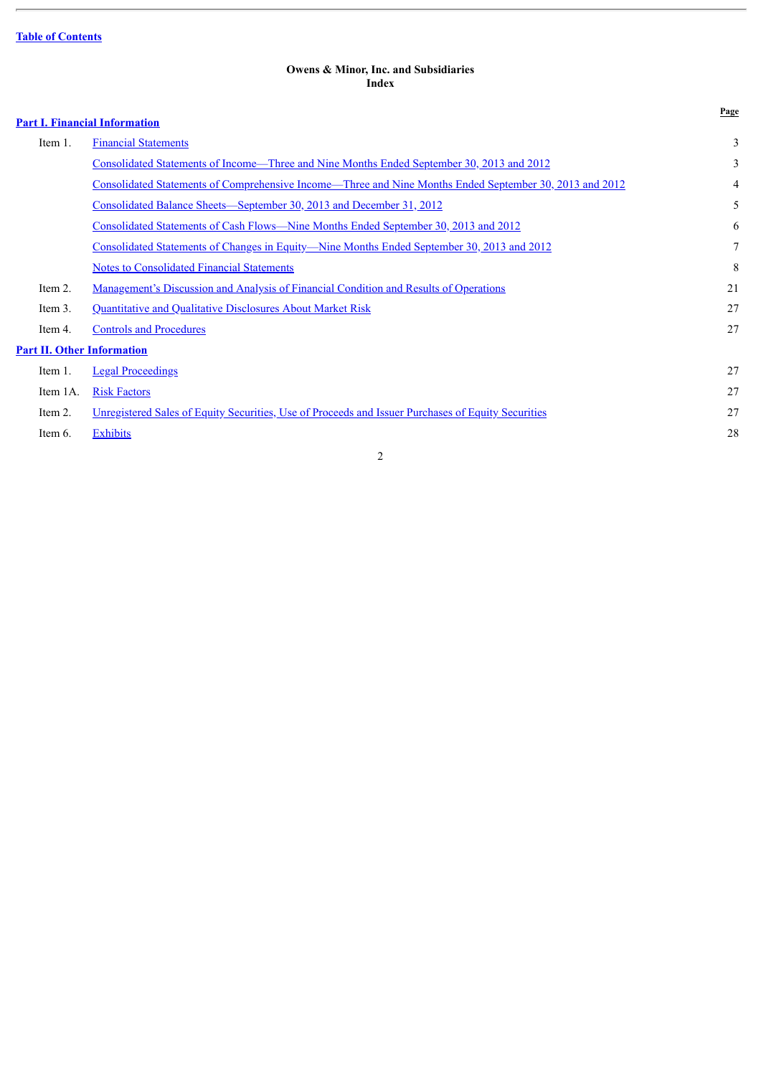### **Owens & Minor, Inc. and Subsidiaries Index**

**Page**

### <span id="page-1-0"></span>**Part I. Financial [Information](#page-2-0)**

| Item 1.  | <b>Financial Statements</b>                                                                             | 3              |
|----------|---------------------------------------------------------------------------------------------------------|----------------|
|          | Consolidated Statements of Income—Three and Nine Months Ended September 30, 2013 and 2012               | 3              |
|          | Consolidated Statements of Comprehensive Income—Three and Nine Months Ended September 30, 2013 and 2012 | $\overline{4}$ |
|          | Consolidated Balance Sheets-September 30, 2013 and December 31, 2012                                    | 5              |
|          | <u>Consolidated Statements of Cash Flows—Nine Months Ended September 30, 2013 and 2012</u>              | 6              |
|          | Consolidated Statements of Changes in Equity—Nine Months Ended September 30, 2013 and 2012              | 7              |
|          | <b>Notes to Consolidated Financial Statements</b>                                                       | 8              |
| Item 2.  | <u>Management's Discussion and Analysis of Financial Condition and Results of Operations</u>            | 21             |
| Item 3.  | Quantitative and Qualitative Disclosures About Market Risk                                              | 27             |
| Item 4.  | <b>Controls and Procedures</b>                                                                          | 27             |
|          | <b>Part II. Other Information</b>                                                                       |                |
| Item 1.  | <b>Legal Proceedings</b>                                                                                | 27             |
| Item 1A. | <b>Risk Factors</b>                                                                                     | 27             |
| Item 2.  | Unregistered Sales of Equity Securities, Use of Proceeds and Issuer Purchases of Equity Securities      | 27             |
| Item 6.  | <b>Exhibits</b>                                                                                         | 28             |
|          |                                                                                                         |                |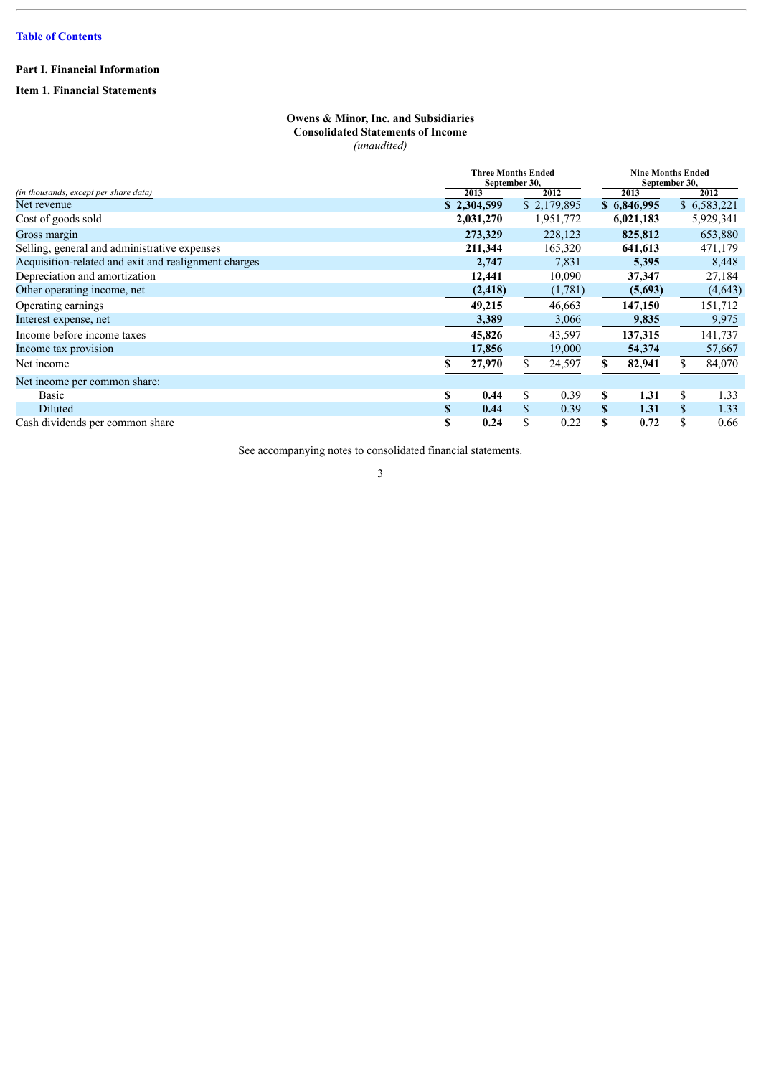### <span id="page-2-0"></span>**Part I. Financial Information**

### <span id="page-2-2"></span><span id="page-2-1"></span>**Item 1. Financial Statements**

### **Owens & Minor, Inc. and Subsidiaries Consolidated Statements of Income**

*(unaudited)*

|                                                      |    | <b>Three Months Ended</b><br>September 30, |     |             | <b>Nine Months Ended</b><br>September 30, |             |    |             |
|------------------------------------------------------|----|--------------------------------------------|-----|-------------|-------------------------------------------|-------------|----|-------------|
| (in thousands, except per share data)                |    | 2013                                       |     | 2012        |                                           | 2013        |    | 2012        |
| Net revenue                                          |    | \$2,304,599                                |     | \$2,179,895 |                                           | \$6,846,995 |    | \$6,583,221 |
| Cost of goods sold                                   |    | 2,031,270                                  |     | 1,951,772   |                                           | 6,021,183   |    | 5,929,341   |
| Gross margin                                         |    | 273,329                                    |     | 228,123     |                                           | 825,812     |    | 653,880     |
| Selling, general and administrative expenses         |    | 211,344                                    |     | 165,320     |                                           | 641,613     |    | 471,179     |
| Acquisition-related and exit and realignment charges |    | 2,747                                      |     | 7,831       |                                           | 5,395       |    | 8,448       |
| Depreciation and amortization                        |    | 12,441                                     |     | 10,090      |                                           | 37,347      |    | 27,184      |
| Other operating income, net                          |    | (2, 418)                                   |     | (1,781)     |                                           | (5,693)     |    | (4, 643)    |
| Operating earnings                                   |    | 49,215                                     |     | 46,663      |                                           | 147,150     |    | 151,712     |
| Interest expense, net                                |    | 3,389                                      |     | 3,066       |                                           | 9,835       |    | 9,975       |
| Income before income taxes                           |    | 45,826                                     |     | 43,597      |                                           | 137,315     |    | 141,737     |
| Income tax provision                                 |    | 17,856                                     |     | 19,000      |                                           | 54,374      |    | 57,667      |
| Net income                                           |    | 27,970                                     | S.  | 24,597      | \$                                        | 82,941      |    | 84,070      |
| Net income per common share:                         |    |                                            |     |             |                                           |             |    |             |
| Basic                                                | \$ | 0.44                                       | \$. | 0.39        | \$                                        | 1.31        | S. | 1.33        |
| Diluted                                              | \$ | 0.44                                       | \$. | 0.39        | \$                                        | 1.31        | \$ | 1.33        |
| Cash dividends per common share                      | S  | 0.24                                       | \$  | 0.22        | S                                         | 0.72        |    | 0.66        |

See accompanying notes to consolidated financial statements.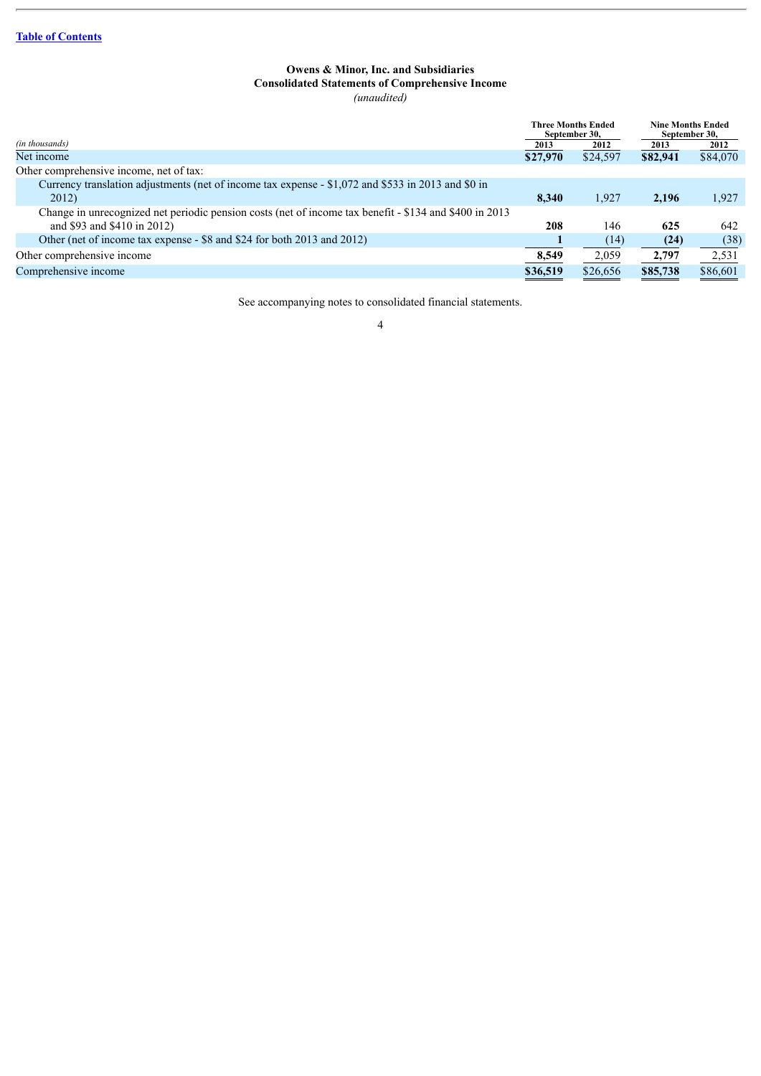### **Owens & Minor, Inc. and Subsidiaries Consolidated Statements of Comprehensive Income**

*(unaudited)*

<span id="page-3-0"></span>

|                                                                                                        | <b>Three Months Ended</b><br>September 30, |          | <b>Nine Months Ended</b><br>September 30, |          |
|--------------------------------------------------------------------------------------------------------|--------------------------------------------|----------|-------------------------------------------|----------|
| (in thousands)                                                                                         | 2013                                       | 2012     | 2013                                      | 2012     |
| Net income                                                                                             | \$27,970                                   | \$24,597 | \$82,941                                  | \$84,070 |
| Other comprehensive income, net of tax:                                                                |                                            |          |                                           |          |
| Currency translation adjustments (net of income tax expense - \$1,072 and \$533 in 2013 and \$0 in     |                                            |          |                                           |          |
| 2012)                                                                                                  | 8.340                                      | 1,927    | 2,196                                     | 1,927    |
| Change in unrecognized net periodic pension costs (net of income tax benefit - \$134 and \$400 in 2013 |                                            |          |                                           |          |
| and \$93 and \$410 in 2012)                                                                            | 208                                        | 146      | 625                                       | 642      |
| Other (net of income tax expense - \$8 and \$24 for both 2013 and 2012)                                |                                            | (14)     | (24)                                      | (38)     |
| Other comprehensive income                                                                             | 8,549                                      | 2,059    | 2,797                                     | 2,531    |
| Comprehensive income                                                                                   | \$36,519                                   | \$26,656 | \$85,738                                  | \$86,601 |
|                                                                                                        |                                            |          |                                           |          |

See accompanying notes to consolidated financial statements. 4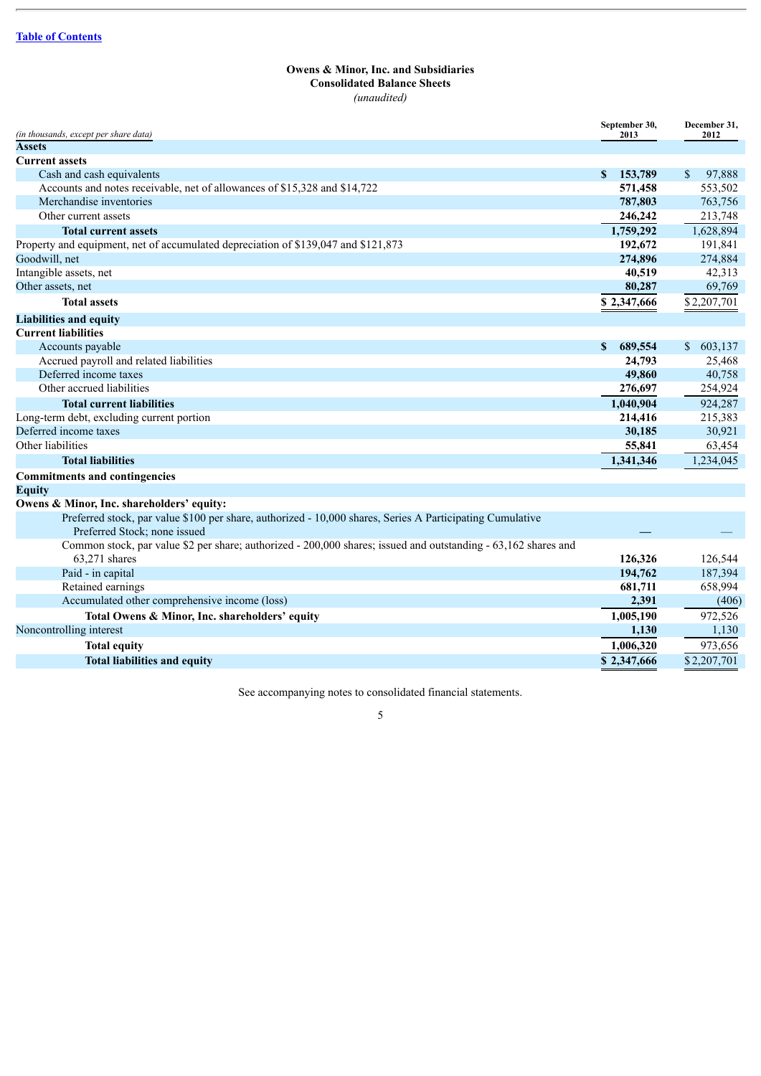### **Owens & Minor, Inc. and Subsidiaries Consolidated Balance Sheets**

*(unaudited)*

<span id="page-4-0"></span>

| (in thousands, except per share data)                                                                          | September 30,<br>2013   | December 31,<br>2012   |
|----------------------------------------------------------------------------------------------------------------|-------------------------|------------------------|
| <b>Assets</b>                                                                                                  |                         |                        |
| <b>Current assets</b>                                                                                          |                         |                        |
| Cash and cash equivalents                                                                                      | 153,789<br>S            | $\mathbb{S}$<br>97,888 |
| Accounts and notes receivable, net of allowances of \$15,328 and \$14,722                                      | 571,458                 | 553,502                |
| Merchandise inventories                                                                                        | 787,803                 | 763,756                |
| Other current assets                                                                                           | 246,242                 | 213,748                |
| <b>Total current assets</b>                                                                                    | 1,759,292               | 1,628,894              |
| Property and equipment, net of accumulated depreciation of \$139,047 and \$121,873                             | 192,672                 | 191,841                |
| Goodwill, net                                                                                                  | 274,896                 | 274,884                |
| Intangible assets, net                                                                                         | 40,519                  | 42,313                 |
| Other assets, net                                                                                              | 80,287                  | 69,769                 |
| <b>Total assets</b>                                                                                            | \$2,347,666             | \$2,207,701            |
| <b>Liabilities and equity</b>                                                                                  |                         |                        |
| <b>Current liabilities</b>                                                                                     |                         |                        |
| Accounts payable                                                                                               | 689,554<br>$\mathbf{s}$ | \$603,137              |
| Accrued payroll and related liabilities                                                                        | 24,793                  | 25,468                 |
| Deferred income taxes                                                                                          | 49,860                  | 40,758                 |
| Other accrued liabilities                                                                                      | 276,697                 | 254,924                |
| <b>Total current liabilities</b>                                                                               | 1,040,904               | 924,287                |
| Long-term debt, excluding current portion                                                                      | 214,416                 | 215,383                |
| Deferred income taxes                                                                                          | 30,185                  | 30,921                 |
| Other liabilities                                                                                              | 55,841                  | 63,454                 |
| <b>Total liabilities</b>                                                                                       | 1,341,346               | 1,234,045              |
| <b>Commitments and contingencies</b>                                                                           |                         |                        |
| <b>Equity</b>                                                                                                  |                         |                        |
| Owens & Minor, Inc. shareholders' equity:                                                                      |                         |                        |
| Preferred stock, par value \$100 per share, authorized - 10,000 shares, Series A Participating Cumulative      |                         |                        |
| Preferred Stock; none issued                                                                                   |                         |                        |
| Common stock, par value \$2 per share; authorized - 200,000 shares; issued and outstanding - 63,162 shares and |                         |                        |
| 63,271 shares                                                                                                  | 126,326                 | 126,544                |
| Paid - in capital                                                                                              | 194,762                 | 187,394                |
| Retained earnings                                                                                              | 681,711                 | 658,994                |
| Accumulated other comprehensive income (loss)                                                                  | 2,391                   | (406)                  |
| Total Owens & Minor, Inc. shareholders' equity                                                                 | 1,005,190               | 972,526                |
| Noncontrolling interest                                                                                        | 1,130                   | 1,130                  |
| <b>Total equity</b>                                                                                            | 1,006,320               | 973,656                |
| <b>Total liabilities and equity</b>                                                                            | \$2,347,666             | \$2,207,701            |

See accompanying notes to consolidated financial statements.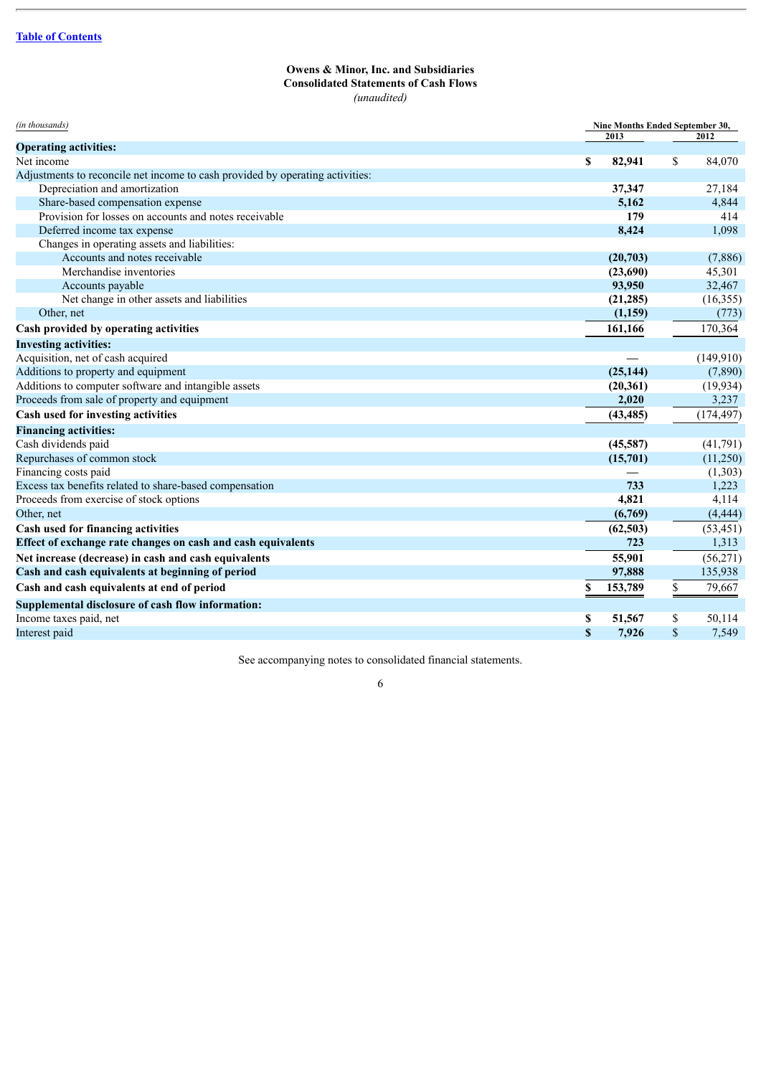### **Owens & Minor, Inc. and Subsidiaries Consolidated Statements of Cash Flows**

*(unaudited)*

<span id="page-5-0"></span>

| in thousands) |  |
|---------------|--|
|---------------|--|

| (in thousands)                                                                |    | Nine Months Ended September 30, |              |  |
|-------------------------------------------------------------------------------|----|---------------------------------|--------------|--|
|                                                                               |    | 2013                            | 2012         |  |
| <b>Operating activities:</b>                                                  |    |                                 |              |  |
| Net income                                                                    | \$ | 82,941                          | \$<br>84,070 |  |
| Adjustments to reconcile net income to cash provided by operating activities: |    |                                 |              |  |
| Depreciation and amortization                                                 |    | 37,347                          | 27,184       |  |
| Share-based compensation expense                                              |    | 5,162                           | 4,844        |  |
| Provision for losses on accounts and notes receivable                         |    | 179                             | 414          |  |
| Deferred income tax expense                                                   |    | 8,424                           | 1,098        |  |
| Changes in operating assets and liabilities:                                  |    |                                 |              |  |
| Accounts and notes receivable                                                 |    | (20,703)                        | (7,886)      |  |
| Merchandise inventories                                                       |    | (23,690)                        | 45,301       |  |
| Accounts payable                                                              |    | 93,950                          | 32,467       |  |
| Net change in other assets and liabilities                                    |    | (21, 285)                       | (16, 355)    |  |
| Other, net                                                                    |    | (1,159)                         | (773)        |  |
| Cash provided by operating activities                                         |    | 161,166                         | 170,364      |  |
| <b>Investing activities:</b>                                                  |    |                                 |              |  |
| Acquisition, net of cash acquired                                             |    |                                 | (149,910)    |  |
| Additions to property and equipment                                           |    | (25, 144)                       | (7,890)      |  |
| Additions to computer software and intangible assets                          |    | (20,361)                        | (19, 934)    |  |
| Proceeds from sale of property and equipment                                  |    | 2,020                           | 3,237        |  |
| Cash used for investing activities                                            |    | (43, 485)                       | (174, 497)   |  |
| <b>Financing activities:</b>                                                  |    |                                 |              |  |
| Cash dividends paid                                                           |    | (45,587)                        | (41,791)     |  |
| Repurchases of common stock                                                   |    | (15,701)                        | (11,250)     |  |
| Financing costs paid                                                          |    |                                 | (1,303)      |  |
| Excess tax benefits related to share-based compensation                       |    | 733                             | 1,223        |  |
| Proceeds from exercise of stock options                                       |    | 4.821                           | 4,114        |  |
| Other, net                                                                    |    | (6,769)                         | (4, 444)     |  |
| Cash used for financing activities                                            |    | (62, 503)                       | (53, 451)    |  |
| Effect of exchange rate changes on cash and cash equivalents                  |    | 723                             | 1,313        |  |
| Net increase (decrease) in cash and cash equivalents                          |    | 55,901                          | (56,271)     |  |
| Cash and cash equivalents at beginning of period                              |    | 97,888                          | 135,938      |  |
| Cash and cash equivalents at end of period                                    | \$ | 153,789                         | \$<br>79,667 |  |
| Supplemental disclosure of cash flow information:                             |    |                                 |              |  |
| Income taxes paid, net                                                        | S  | 51,567                          | \$<br>50,114 |  |
| Interest paid                                                                 | \$ | 7,926                           | \$<br>7,549  |  |

See accompanying notes to consolidated financial statements.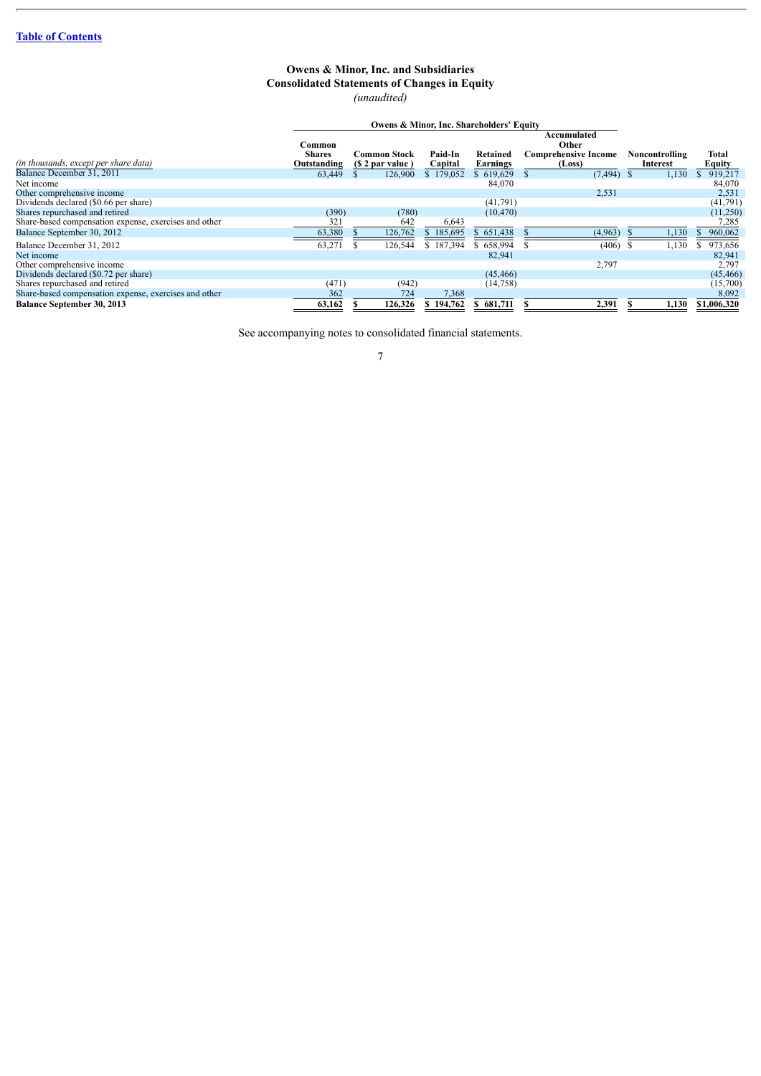### **Owens & Minor, Inc. and Subsidiaries Consolidated Statements of Changes in Equity**

*(unaudited)*

<span id="page-6-0"></span>

|                                                       | Owens & Minor, Inc. Shareholders' Equity |                 |           |              |                                                     |                |             |
|-------------------------------------------------------|------------------------------------------|-----------------|-----------|--------------|-----------------------------------------------------|----------------|-------------|
|                                                       | Common<br><b>Shares</b>                  | Common Stock    | Paid-In   | Retained     | Accumulated<br>Other<br><b>Comprehensive Income</b> | Noncontrolling | Total       |
| (in thousands, except per share data)                 | Outstanding                              | (\$2 par value) | Capital   | Earnings     | (Loss)                                              | Interest       | Equity      |
| Balance December 31, 2011                             | 63,449                                   | 126,900         | \$179,052 | \$619,629    | (7, 494)                                            | 1,130          | 919,217     |
| Net income                                            |                                          |                 |           | 84,070       |                                                     |                | 84,070      |
| Other comprehensive income                            |                                          |                 |           |              | 2,531                                               |                | 2,531       |
| Dividends declared (\$0.66 per share)                 |                                          |                 |           | (41,791)     |                                                     |                | (41,791)    |
| Shares repurchased and retired                        | (390)                                    | (780)           |           | (10, 470)    |                                                     |                | (11,250)    |
| Share-based compensation expense, exercises and other | 321                                      | 642             | 6,643     |              |                                                     |                | 7,285       |
| Balance September 30, 2012                            | 63,380                                   | 126,762         | 185,695   | 651,438      | (4,963)                                             | ,130           | 960,062     |
| Balance December 31, 2012                             | 63,271                                   | 126,544         | \$187,394 | 658,994<br>S | (406)                                               | 1,130          | 973,656     |
| Net income                                            |                                          |                 |           | 82,941       |                                                     |                | 82,941      |
| Other comprehensive income                            |                                          |                 |           |              | 2,797                                               |                | 2,797       |
| Dividends declared (\$0.72 per share)                 |                                          |                 |           | (45, 466)    |                                                     |                | (45, 466)   |
| Shares repurchased and retired                        | (471)                                    | (942)           |           | (14, 758)    |                                                     |                | (15,700)    |
| Share-based compensation expense, exercises and other | 362                                      | 724             | 7,368     |              |                                                     |                | 8,092       |
| <b>Balance September 30, 2013</b>                     | 63,162                                   | 126,326         | 194,762   | \$681,711    | 2,391                                               | 1,130          | \$1,006,320 |

See accompanying notes to consolidated financial statements.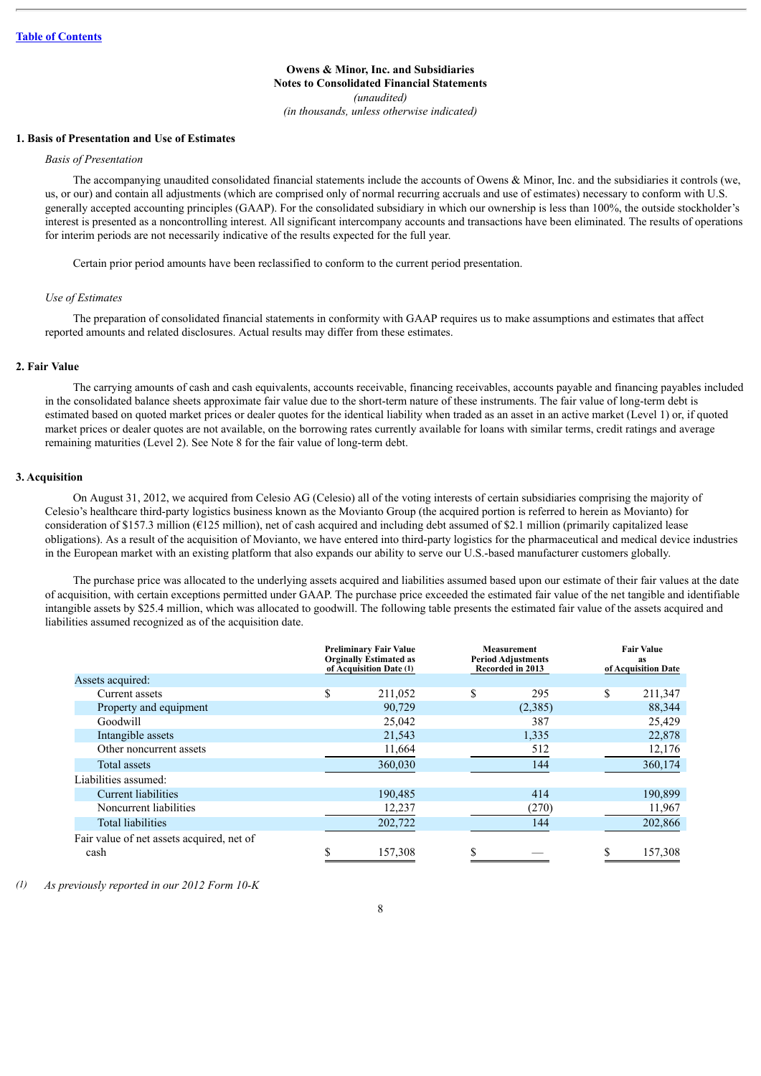**Owens & Minor, Inc. and Subsidiaries Notes to Consolidated Financial Statements** *(unaudited) (in thousands, unless otherwise indicated)*

#### <span id="page-7-0"></span>**1. Basis of Presentation and Use of Estimates**

#### *Basis of Presentation*

The accompanying unaudited consolidated financial statements include the accounts of Owens & Minor, Inc. and the subsidiaries it controls (we, us, or our) and contain all adjustments (which are comprised only of normal recurring accruals and use of estimates) necessary to conform with U.S. generally accepted accounting principles (GAAP). For the consolidated subsidiary in which our ownership is less than 100%, the outside stockholder's interest is presented as a noncontrolling interest. All significant intercompany accounts and transactions have been eliminated. The results of operations for interim periods are not necessarily indicative of the results expected for the full year.

Certain prior period amounts have been reclassified to conform to the current period presentation.

#### *Use of Estimates*

The preparation of consolidated financial statements in conformity with GAAP requires us to make assumptions and estimates that affect reported amounts and related disclosures. Actual results may differ from these estimates.

### **2. Fair Value**

The carrying amounts of cash and cash equivalents, accounts receivable, financing receivables, accounts payable and financing payables included in the consolidated balance sheets approximate fair value due to the short-term nature of these instruments. The fair value of long-term debt is estimated based on quoted market prices or dealer quotes for the identical liability when traded as an asset in an active market (Level 1) or, if quoted market prices or dealer quotes are not available, on the borrowing rates currently available for loans with similar terms, credit ratings and average remaining maturities (Level 2). See Note 8 for the fair value of long-term debt.

#### **3. Acquisition**

On August 31, 2012, we acquired from Celesio AG (Celesio) all of the voting interests of certain subsidiaries comprising the majority of Celesio's healthcare third-party logistics business known as the Movianto Group (the acquired portion is referred to herein as Movianto) for consideration of \$157.3 million ( $E$ 125 million), net of cash acquired and including debt assumed of \$2.1 million (primarily capitalized lease obligations). As a result of the acquisition of Movianto, we have entered into third-party logistics for the pharmaceutical and medical device industries in the European market with an existing platform that also expands our ability to serve our U.S.-based manufacturer customers globally.

The purchase price was allocated to the underlying assets acquired and liabilities assumed based upon our estimate of their fair values at the date of acquisition, with certain exceptions permitted under GAAP. The purchase price exceeded the estimated fair value of the net tangible and identifiable intangible assets by \$25.4 million, which was allocated to goodwill. The following table presents the estimated fair value of the assets acquired and liabilities assumed recognized as of the acquisition date.

|                                           | <b>Preliminary Fair Value</b><br><b>Orginally Estimated as</b><br>of Acquisition Date (1) | <b>Measurement</b><br><b>Period Adjustments</b><br>Recorded in 2013 |         |   | <b>Fair Value</b><br><b>as</b><br>of Acquisition Date |
|-------------------------------------------|-------------------------------------------------------------------------------------------|---------------------------------------------------------------------|---------|---|-------------------------------------------------------|
| Assets acquired:                          |                                                                                           |                                                                     |         |   |                                                       |
| Current assets                            | \$<br>211,052                                                                             | \$                                                                  | 295     | S | 211,347                                               |
| Property and equipment                    | 90,729                                                                                    |                                                                     | (2,385) |   | 88,344                                                |
| Goodwill                                  | 25,042                                                                                    |                                                                     | 387     |   | 25,429                                                |
| Intangible assets                         | 21,543                                                                                    |                                                                     | 1,335   |   | 22,878                                                |
| Other noncurrent assets                   | 11,664                                                                                    |                                                                     | 512     |   | 12,176                                                |
| Total assets                              | 360,030                                                                                   |                                                                     | 144     |   | 360,174                                               |
| Liabilities assumed:                      |                                                                                           |                                                                     |         |   |                                                       |
| Current liabilities                       | 190,485                                                                                   |                                                                     | 414     |   | 190,899                                               |
| Noncurrent liabilities                    | 12,237                                                                                    |                                                                     | (270)   |   | 11,967                                                |
| Total liabilities                         | 202,722                                                                                   |                                                                     | 144     |   | 202,866                                               |
| Fair value of net assets acquired, net of |                                                                                           |                                                                     |         |   |                                                       |
| cash                                      | 157,308                                                                                   |                                                                     |         |   | 157,308                                               |

*(1) As previously reported in our 2012 Form 10-K*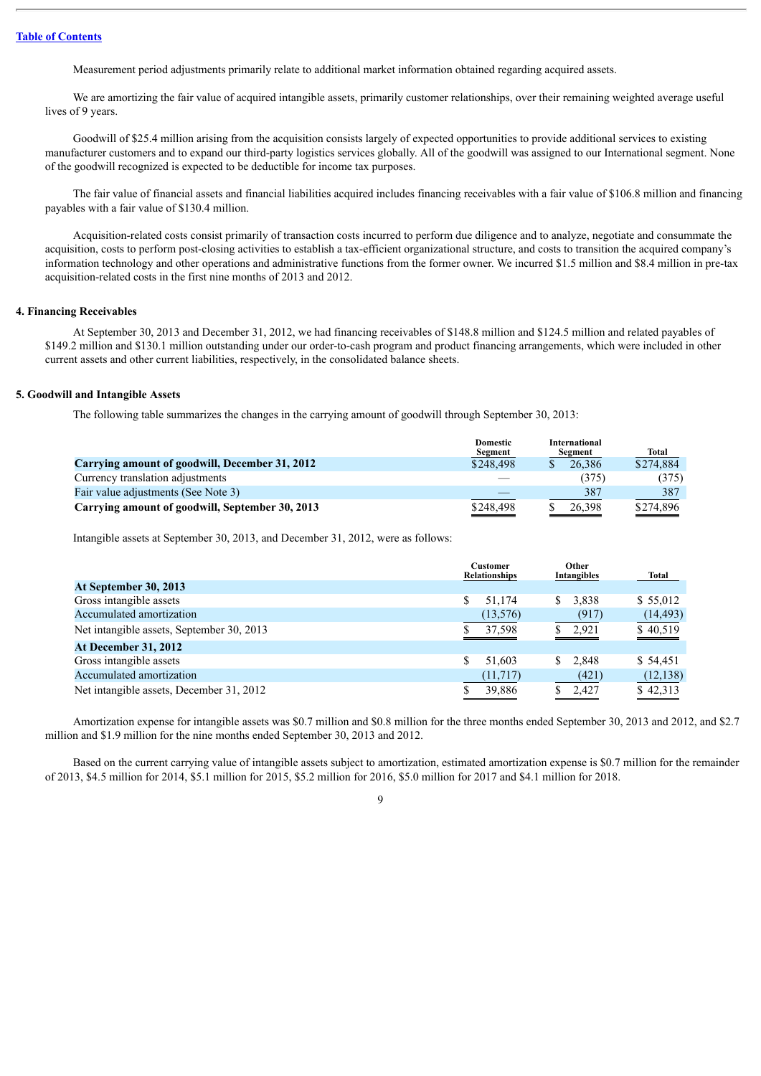Measurement period adjustments primarily relate to additional market information obtained regarding acquired assets.

We are amortizing the fair value of acquired intangible assets, primarily customer relationships, over their remaining weighted average useful lives of 9 years.

Goodwill of \$25.4 million arising from the acquisition consists largely of expected opportunities to provide additional services to existing manufacturer customers and to expand our third-party logistics services globally. All of the goodwill was assigned to our International segment. None of the goodwill recognized is expected to be deductible for income tax purposes.

The fair value of financial assets and financial liabilities acquired includes financing receivables with a fair value of \$106.8 million and financing payables with a fair value of \$130.4 million.

Acquisition-related costs consist primarily of transaction costs incurred to perform due diligence and to analyze, negotiate and consummate the acquisition, costs to perform post-closing activities to establish a tax-efficient organizational structure, and costs to transition the acquired company's information technology and other operations and administrative functions from the former owner. We incurred \$1.5 million and \$8.4 million in pre-tax acquisition-related costs in the first nine months of 2013 and 2012.

#### **4. Financing Receivables**

At September 30, 2013 and December 31, 2012, we had financing receivables of \$148.8 million and \$124.5 million and related payables of \$149.2 million and \$130.1 million outstanding under our order-to-cash program and product financing arrangements, which were included in other current assets and other current liabilities, respectively, in the consolidated balance sheets.

#### **5. Goodwill and Intangible Assets**

The following table summarizes the changes in the carrying amount of goodwill through September 30, 2013:

|                                                 | <b>Domestic</b><br>Segment | International<br>Segment | Total     |
|-------------------------------------------------|----------------------------|--------------------------|-----------|
| Carrying amount of goodwill, December 31, 2012  | \$248,498                  | 26.386                   | \$274,884 |
| Currency translation adjustments                |                            | (375)                    | (375)     |
| Fair value adjustments (See Note 3)             |                            | 387                      | 387       |
| Carrying amount of goodwill, September 30, 2013 | \$248,498                  | 26.398                   | \$274.896 |

Intangible assets at September 30, 2013, and December 31, 2012, were as follows:

|                                           | Customer<br><b>Relationships</b> | Other<br><b>Intangibles</b> | Total     |
|-------------------------------------------|----------------------------------|-----------------------------|-----------|
| At September 30, 2013                     |                                  |                             |           |
| Gross intangible assets                   | S.<br>51.174                     | 3.838                       | \$ 55,012 |
| Accumulated amortization                  | (13, 576)                        | (917)                       | (14, 493) |
| Net intangible assets, September 30, 2013 | 37,598                           | 2,921                       | \$40,519  |
| <b>At December 31, 2012</b>               |                                  |                             |           |
| Gross intangible assets                   | 51.603<br>S.                     | 2.848<br>S.                 | \$54,451  |
| Accumulated amortization                  | (11,717)                         | (421)                       | (12, 138) |
| Net intangible assets, December 31, 2012  | 39.886                           | 2.427                       | \$42.313  |

Amortization expense for intangible assets was \$0.7 million and \$0.8 million for the three months ended September 30, 2013 and 2012, and \$2.7 million and \$1.9 million for the nine months ended September 30, 2013 and 2012.

Based on the current carrying value of intangible assets subject to amortization, estimated amortization expense is \$0.7 million for the remainder of 2013, \$4.5 million for 2014, \$5.1 million for 2015, \$5.2 million for 2016, \$5.0 million for 2017 and \$4.1 million for 2018.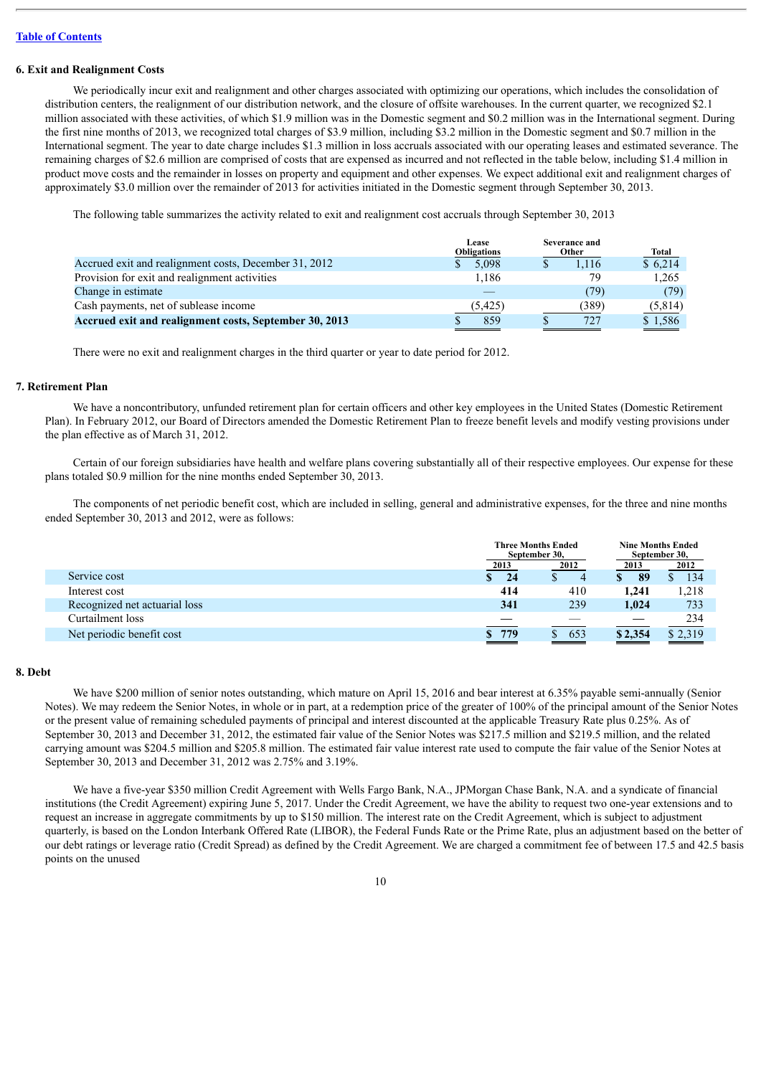### **6. Exit and Realignment Costs**

We periodically incur exit and realignment and other charges associated with optimizing our operations, which includes the consolidation of distribution centers, the realignment of our distribution network, and the closure of offsite warehouses. In the current quarter, we recognized \$2.1 million associated with these activities, of which \$1.9 million was in the Domestic segment and \$0.2 million was in the International segment. During the first nine months of 2013, we recognized total charges of \$3.9 million, including \$3.2 million in the Domestic segment and \$0.7 million in the International segment. The year to date charge includes \$1.3 million in loss accruals associated with our operating leases and estimated severance. The remaining charges of \$2.6 million are comprised of costs that are expensed as incurred and not reflected in the table below, including \$1.4 million in product move costs and the remainder in losses on property and equipment and other expenses. We expect additional exit and realignment charges of approximately \$3.0 million over the remainder of 2013 for activities initiated in the Domestic segment through September 30, 2013.

The following table summarizes the activity related to exit and realignment cost accruals through September 30, 2013

|                                                        | Lease<br><b>Obligations</b> | <b>Severance and</b><br>Other | <b>Total</b> |
|--------------------------------------------------------|-----------------------------|-------------------------------|--------------|
| Accrued exit and realignment costs, December 31, 2012  | 5.098                       | 1.116                         | \$6,214      |
| Provision for exit and realignment activities          | 1.186                       | 79                            | 1.265        |
| Change in estimate                                     |                             | (79)                          | (79)         |
| Cash payments, net of sublease income                  | (5, 425)                    | (389)                         | (5,814)      |
| Accrued exit and realignment costs, September 30, 2013 | 859                         | 727                           | \$1,586      |

There were no exit and realignment charges in the third quarter or year to date period for 2012.

#### **7. Retirement Plan**

We have a noncontributory, unfunded retirement plan for certain officers and other key employees in the United States (Domestic Retirement Plan). In February 2012, our Board of Directors amended the Domestic Retirement Plan to freeze benefit levels and modify vesting provisions under the plan effective as of March 31, 2012.

Certain of our foreign subsidiaries have health and welfare plans covering substantially all of their respective employees. Our expense for these plans totaled \$0.9 million for the nine months ended September 30, 2013.

The components of net periodic benefit cost, which are included in selling, general and administrative expenses, for the three and nine months ended September 30, 2013 and 2012, were as follows:

|                               |      | <b>Three Months Ended</b><br>September 30. |         |       |
|-------------------------------|------|--------------------------------------------|---------|-------|
|                               | 2013 | 2012                                       | 2013    | 2012  |
| Service cost                  | 24   |                                            | 89      | 134   |
| Interest cost                 | 414  | 410                                        | 1.241   | 1,218 |
| Recognized net actuarial loss | 341  | 239                                        | 1.024   | 733   |
| Curtailment loss              |      |                                            |         | 234   |
| Net periodic benefit cost     | 779  | 653                                        | \$2,354 |       |

### **8. Debt**

We have \$200 million of senior notes outstanding, which mature on April 15, 2016 and bear interest at 6.35% payable semi-annually (Senior Notes). We may redeem the Senior Notes, in whole or in part, at a redemption price of the greater of 100% of the principal amount of the Senior Notes or the present value of remaining scheduled payments of principal and interest discounted at the applicable Treasury Rate plus 0.25%. As of September 30, 2013 and December 31, 2012, the estimated fair value of the Senior Notes was \$217.5 million and \$219.5 million, and the related carrying amount was \$204.5 million and \$205.8 million. The estimated fair value interest rate used to compute the fair value of the Senior Notes at September 30, 2013 and December 31, 2012 was 2.75% and 3.19%.

We have a five-year \$350 million Credit Agreement with Wells Fargo Bank, N.A., JPMorgan Chase Bank, N.A. and a syndicate of financial institutions (the Credit Agreement) expiring June 5, 2017. Under the Credit Agreement, we have the ability to request two one-year extensions and to request an increase in aggregate commitments by up to \$150 million. The interest rate on the Credit Agreement, which is subject to adjustment quarterly, is based on the London Interbank Offered Rate (LIBOR), the Federal Funds Rate or the Prime Rate, plus an adjustment based on the better of our debt ratings or leverage ratio (Credit Spread) as defined by the Credit Agreement. We are charged a commitment fee of between 17.5 and 42.5 basis points on the unused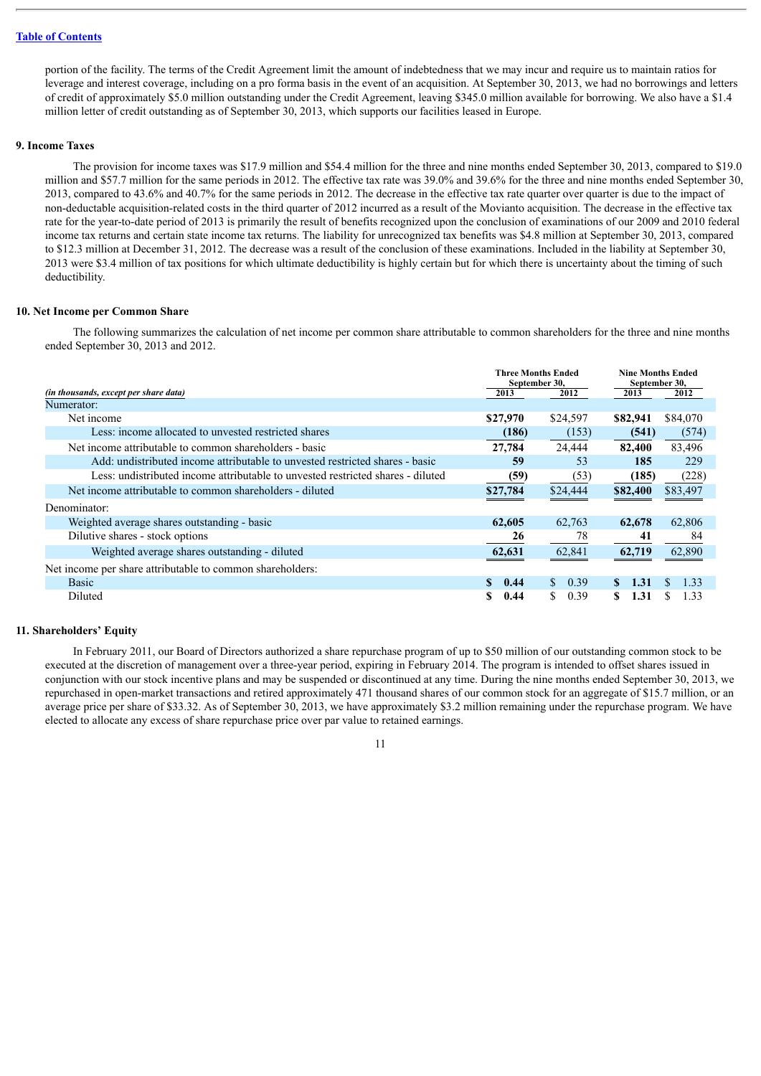portion of the facility. The terms of the Credit Agreement limit the amount of indebtedness that we may incur and require us to maintain ratios for leverage and interest coverage, including on a pro forma basis in the event of an acquisition. At September 30, 2013, we had no borrowings and letters of credit of approximately \$5.0 million outstanding under the Credit Agreement, leaving \$345.0 million available for borrowing. We also have a \$1.4 million letter of credit outstanding as of September 30, 2013, which supports our facilities leased in Europe.

#### **9. Income Taxes**

The provision for income taxes was \$17.9 million and \$54.4 million for the three and nine months ended September 30, 2013, compared to \$19.0 million and \$57.7 million for the same periods in 2012. The effective tax rate was 39.0% and 39.6% for the three and nine months ended September 30, 2013, compared to 43.6% and 40.7% for the same periods in 2012. The decrease in the effective tax rate quarter over quarter is due to the impact of non-deductable acquisition-related costs in the third quarter of 2012 incurred as a result of the Movianto acquisition. The decrease in the effective tax rate for the year-to-date period of 2013 is primarily the result of benefits recognized upon the conclusion of examinations of our 2009 and 2010 federal income tax returns and certain state income tax returns. The liability for unrecognized tax benefits was \$4.8 million at September 30, 2013, compared to \$12.3 million at December 31, 2012. The decrease was a result of the conclusion of these examinations. Included in the liability at September 30, 2013 were \$3.4 million of tax positions for which ultimate deductibility is highly certain but for which there is uncertainty about the timing of such deductibility.

#### **10. Net Income per Common Share**

The following summarizes the calculation of net income per common share attributable to common shareholders for the three and nine months ended September 30, 2013 and 2012.

|                                                                                 | <b>Three Months Ended</b><br>September 30, |                   |                       |          | <b>Nine Months Ended</b><br>September 30, |  |
|---------------------------------------------------------------------------------|--------------------------------------------|-------------------|-----------------------|----------|-------------------------------------------|--|
| (in thousands, except per share data)                                           | 2013                                       | 2012              | 2013                  | 2012     |                                           |  |
| Numerator:                                                                      |                                            |                   |                       |          |                                           |  |
| Net income                                                                      | \$27,970                                   | \$24,597          | \$82,941              | \$84,070 |                                           |  |
| Less: income allocated to unvested restricted shares                            | (186)                                      | (153)             | (541)                 | (574)    |                                           |  |
| Net income attributable to common shareholders - basic                          | 27,784                                     | 24,444            | 82,400                | 83,496   |                                           |  |
| Add: undistributed income attributable to unvested restricted shares - basic    | 59                                         | 53                | 185                   | 229      |                                           |  |
| Less: undistributed income attributable to unvested restricted shares - diluted | (59)                                       | (53)              | (185)                 | (228)    |                                           |  |
| Net income attributable to common shareholders - diluted                        | \$27,784                                   | \$24,444          | \$82,400              | \$83,497 |                                           |  |
| Denominator:                                                                    |                                            |                   |                       |          |                                           |  |
| Weighted average shares outstanding - basic                                     | 62,605                                     | 62,763            | 62,678                | 62,806   |                                           |  |
| Dilutive shares - stock options                                                 | 26                                         | 78                | 41                    | 84       |                                           |  |
| Weighted average shares outstanding - diluted                                   | 62,631                                     | 62,841            | 62,719                | 62,890   |                                           |  |
| Net income per share attributable to common shareholders:                       |                                            |                   |                       |          |                                           |  |
| <b>Basic</b>                                                                    | 0.44                                       | $\frac{\$}{0.39}$ | 1.31<br><sup>\$</sup> | 1.33     |                                           |  |
| Diluted                                                                         | 0.44                                       | 0.39<br>S.        | 1.31<br>\$            | 1.33     |                                           |  |

#### **11. Shareholders' Equity**

In February 2011, our Board of Directors authorized a share repurchase program of up to \$50 million of our outstanding common stock to be executed at the discretion of management over a three-year period, expiring in February 2014. The program is intended to offset shares issued in conjunction with our stock incentive plans and may be suspended or discontinued at any time. During the nine months ended September 30, 2013, we repurchased in open-market transactions and retired approximately 471 thousand shares of our common stock for an aggregate of \$15.7 million, or an average price per share of \$33.32. As of September 30, 2013, we have approximately \$3.2 million remaining under the repurchase program. We have elected to allocate any excess of share repurchase price over par value to retained earnings.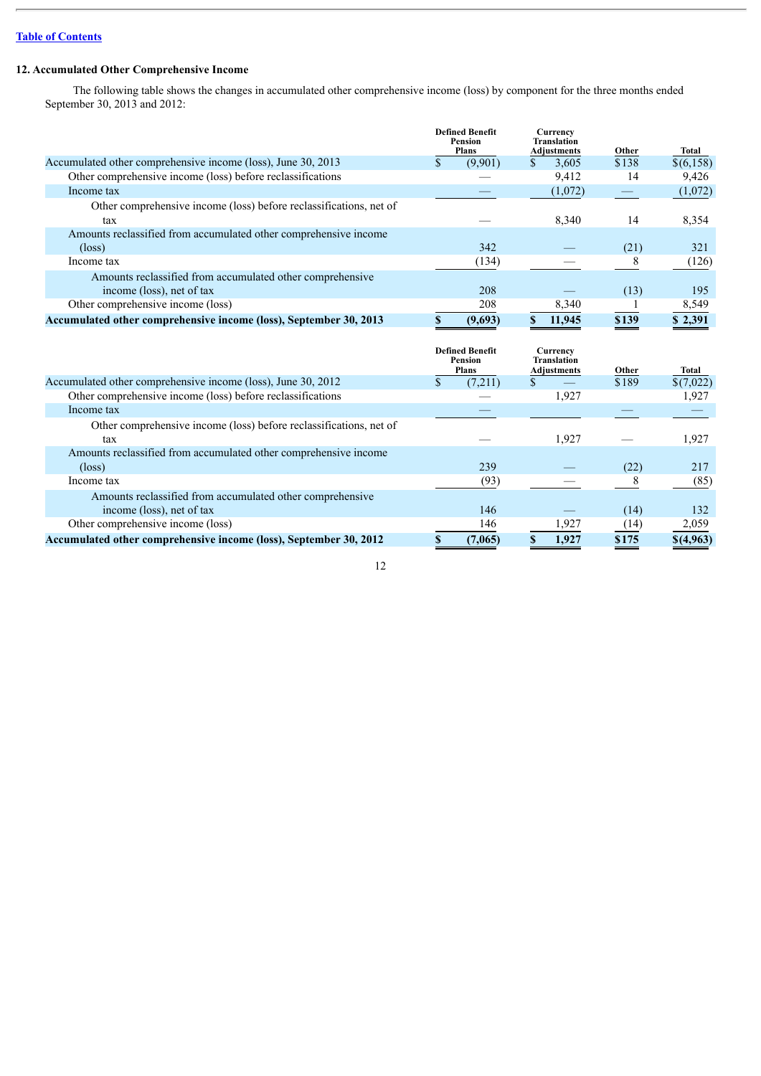### **12. Accumulated Other Comprehensive Income**

The following table shows the changes in accumulated other comprehensive income (loss) by component for the three months ended September 30, 2013 and 2012:

|                                                                    | <b>Defined Benefit</b> |         | Currency<br><b>Pension</b><br>Translation |                    |       |           |  |
|--------------------------------------------------------------------|------------------------|---------|-------------------------------------------|--------------------|-------|-----------|--|
|                                                                    |                        | Plans   |                                           | <b>Adjustments</b> | Other | Total     |  |
| Accumulated other comprehensive income (loss), June 30, 2013       |                        | (9,901) |                                           | 3,605              | \$138 | \$(6,158) |  |
| Other comprehensive income (loss) before reclassifications         |                        |         |                                           | 9,412              | 14    | 9,426     |  |
| Income tax                                                         |                        |         |                                           | (1,072)            |       | (1,072)   |  |
| Other comprehensive income (loss) before reclassifications, net of |                        |         |                                           |                    |       |           |  |
| tax                                                                |                        |         |                                           | 8,340              | 14    | 8,354     |  |
| Amounts reclassified from accumulated other comprehensive income   |                        |         |                                           |                    |       |           |  |
| $(\text{loss})$                                                    |                        | 342     |                                           |                    | (21)  | 321       |  |
| Income tax                                                         |                        | (134)   |                                           |                    |       | (126)     |  |
| Amounts reclassified from accumulated other comprehensive          |                        |         |                                           |                    |       |           |  |
| income (loss), net of tax                                          |                        | 208     |                                           |                    | (13)  | 195       |  |
| Other comprehensive income (loss)                                  |                        | 208     |                                           | 8,340              |       | 8,549     |  |
| Accumulated other comprehensive income (loss), September 30, 2013  |                        | (9,693) |                                           | 11,945             | \$139 | \$2,391   |  |

|                                                                    | <b>Defined Benefit</b><br><b>Pension</b><br><b>Plans</b> | Currency<br><b>Translation</b><br><b>Adjustments</b> | Other | Total     |
|--------------------------------------------------------------------|----------------------------------------------------------|------------------------------------------------------|-------|-----------|
| Accumulated other comprehensive income (loss), June 30, 2012       | (7,211)                                                  |                                                      | \$189 | \$(7,022) |
| Other comprehensive income (loss) before reclassifications         |                                                          | 1,927                                                |       | 1,927     |
| Income tax                                                         |                                                          |                                                      |       |           |
| Other comprehensive income (loss) before reclassifications, net of |                                                          |                                                      |       |           |
| tax                                                                |                                                          | 1,927                                                |       | 1,927     |
| Amounts reclassified from accumulated other comprehensive income   |                                                          |                                                      |       |           |
| $(\text{loss})$                                                    | 239                                                      |                                                      | (22)  | 217       |
| Income tax                                                         | (93)                                                     |                                                      | 8     | (85)      |
| Amounts reclassified from accumulated other comprehensive          |                                                          |                                                      |       |           |
| income (loss), net of tax                                          | 146                                                      |                                                      | (14)  | 132       |
| Other comprehensive income (loss)                                  | 146                                                      | 1,927                                                | (14)  | 2,059     |
| Accumulated other comprehensive income (loss), September 30, 2012  | (7,065)                                                  | 1,927                                                | \$175 | \$(4,963) |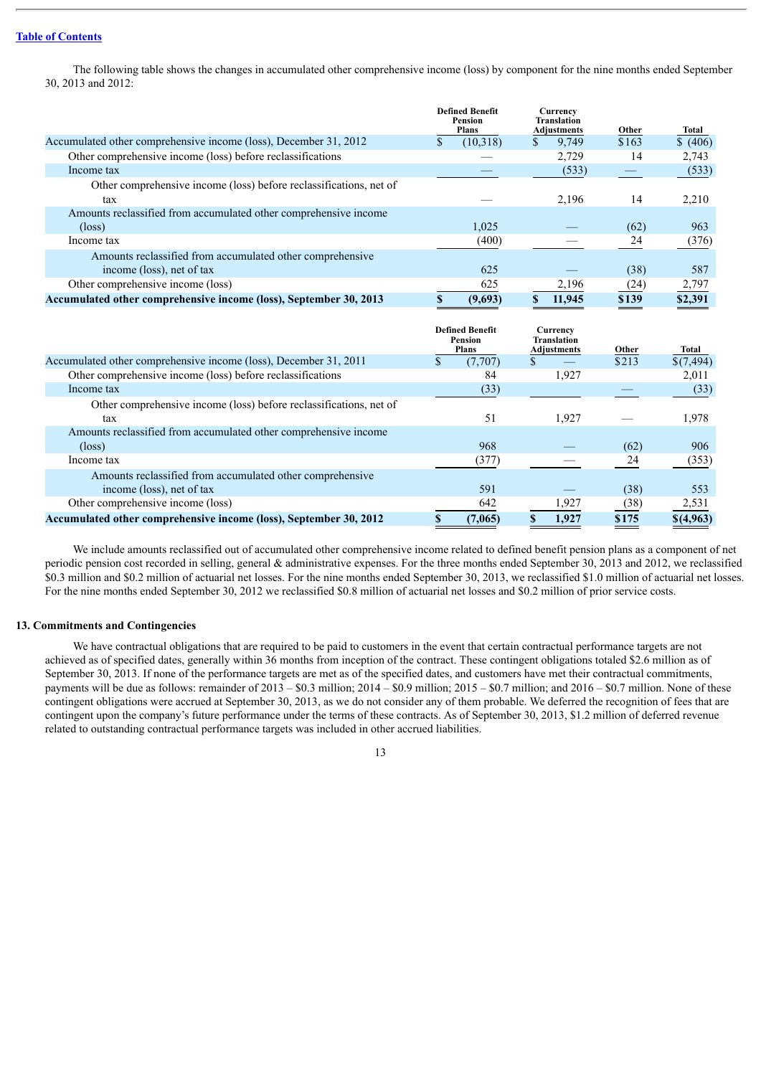The following table shows the changes in accumulated other comprehensive income (loss) by component for the nine months ended September 30, 2013 and 2012:

|                                                                    | <b>Defined Benefit</b><br>Pension<br><b>Plans</b> | Currency<br><b>Translation</b><br><b>Adjustments</b> | Other | Total    |
|--------------------------------------------------------------------|---------------------------------------------------|------------------------------------------------------|-------|----------|
| Accumulated other comprehensive income (loss), December 31, 2012   | (10,318)                                          | 9,749                                                | \$163 | \$ (406) |
| Other comprehensive income (loss) before reclassifications         |                                                   | 2,729                                                | 14    | 2,743    |
| Income tax                                                         |                                                   | (533)                                                |       | (533)    |
| Other comprehensive income (loss) before reclassifications, net of |                                                   |                                                      |       |          |
| tax                                                                |                                                   | 2,196                                                | 14    | 2,210    |
| Amounts reclassified from accumulated other comprehensive income   |                                                   |                                                      |       |          |
| $(\text{loss})$                                                    | 1,025                                             |                                                      | (62)  | 963      |
| Income tax                                                         | (400)                                             |                                                      | 24    | (376)    |
| Amounts reclassified from accumulated other comprehensive          |                                                   |                                                      |       |          |
| income (loss), net of tax                                          | 625                                               |                                                      | (38)  | 587      |
| Other comprehensive income (loss)                                  | 625                                               | 2,196                                                | (24)  | 2,797    |
| Accumulated other comprehensive income (loss), September 30, 2013  | (9,693)                                           | 11,945                                               | \$139 | \$2.391  |

|                                                                    | <b>Defined Benefit</b><br>Pension<br><b>Plans</b> | Currency<br>Translation<br><b>Adjustments</b> | Other | Total     |
|--------------------------------------------------------------------|---------------------------------------------------|-----------------------------------------------|-------|-----------|
| Accumulated other comprehensive income (loss), December 31, 2011   | (7,707)                                           |                                               | \$213 | \$(7,494) |
| Other comprehensive income (loss) before reclassifications         | 84                                                | 1,927                                         |       | 2,011     |
| Income tax                                                         | (33)                                              |                                               |       | (33)      |
| Other comprehensive income (loss) before reclassifications, net of |                                                   |                                               |       |           |
| tax                                                                | 51                                                | 1,927                                         |       | 1,978     |
| Amounts reclassified from accumulated other comprehensive income   |                                                   |                                               |       |           |
| $(\text{loss})$                                                    | 968                                               |                                               | (62)  | 906       |
| Income tax                                                         | (377)                                             |                                               | 24    | (353)     |
| Amounts reclassified from accumulated other comprehensive          |                                                   |                                               |       |           |
| income (loss), net of tax                                          | 591                                               |                                               | (38)  | 553       |
| Other comprehensive income (loss)                                  | 642                                               | 1,927                                         | (38)  | 2,531     |
| Accumulated other comprehensive income (loss), September 30, 2012  | (7,065)                                           | 1,927                                         | \$175 | \$(4,963) |

We include amounts reclassified out of accumulated other comprehensive income related to defined benefit pension plans as a component of net periodic pension cost recorded in selling, general & administrative expenses. For the three months ended September 30, 2013 and 2012, we reclassified \$0.3 million and \$0.2 million of actuarial net losses. For the nine months ended September 30, 2013, we reclassified \$1.0 million of actuarial net losses. For the nine months ended September 30, 2012 we reclassified \$0.8 million of actuarial net losses and \$0.2 million of prior service costs.

### **13. Commitments and Contingencies**

We have contractual obligations that are required to be paid to customers in the event that certain contractual performance targets are not achieved as of specified dates, generally within 36 months from inception of the contract. These contingent obligations totaled \$2.6 million as of September 30, 2013. If none of the performance targets are met as of the specified dates, and customers have met their contractual commitments, payments will be due as follows: remainder of 2013 – \$0.3 million; 2014 – \$0.9 million; 2015 – \$0.7 million; and 2016 – \$0.7 million. None of these contingent obligations were accrued at September 30, 2013, as we do not consider any of them probable. We deferred the recognition of fees that are contingent upon the company's future performance under the terms of these contracts. As of September 30, 2013, \$1.2 million of deferred revenue related to outstanding contractual performance targets was included in other accrued liabilities.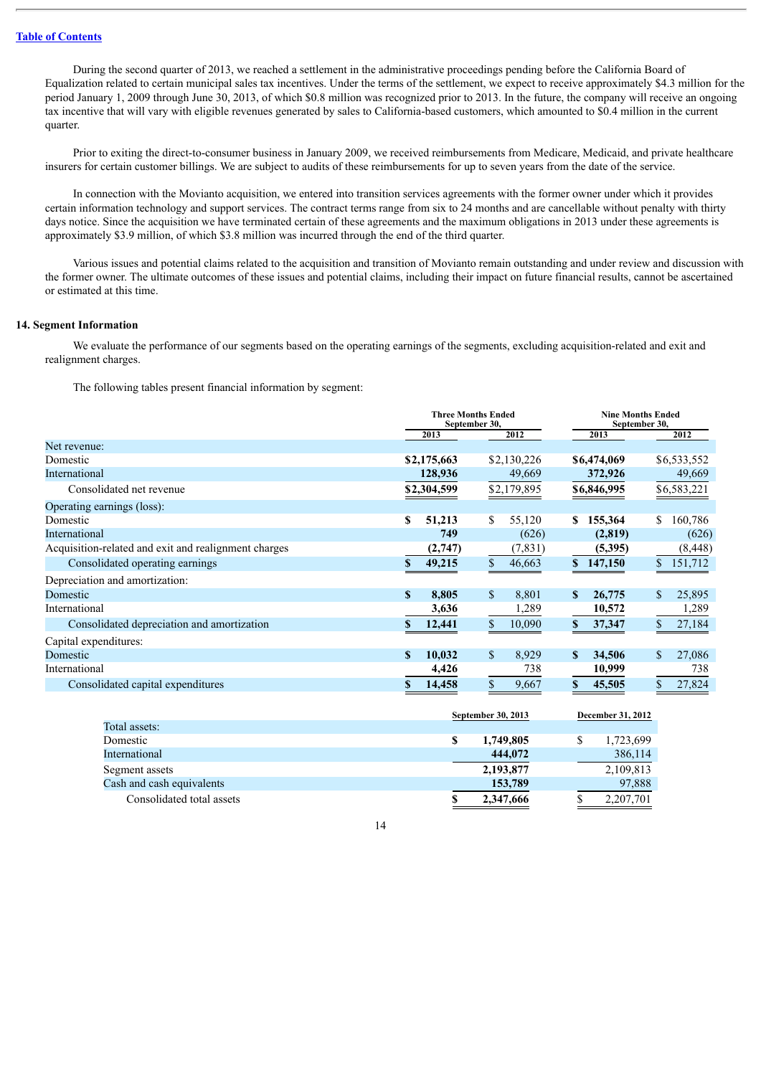During the second quarter of 2013, we reached a settlement in the administrative proceedings pending before the California Board of Equalization related to certain municipal sales tax incentives. Under the terms of the settlement, we expect to receive approximately \$4.3 million for the period January 1, 2009 through June 30, 2013, of which \$0.8 million was recognized prior to 2013. In the future, the company will receive an ongoing tax incentive that will vary with eligible revenues generated by sales to California-based customers, which amounted to \$0.4 million in the current quarter.

Prior to exiting the direct-to-consumer business in January 2009, we received reimbursements from Medicare, Medicaid, and private healthcare insurers for certain customer billings. We are subject to audits of these reimbursements for up to seven years from the date of the service.

In connection with the Movianto acquisition, we entered into transition services agreements with the former owner under which it provides certain information technology and support services. The contract terms range from six to 24 months and are cancellable without penalty with thirty days notice. Since the acquisition we have terminated certain of these agreements and the maximum obligations in 2013 under these agreements is approximately \$3.9 million, of which \$3.8 million was incurred through the end of the third quarter.

Various issues and potential claims related to the acquisition and transition of Movianto remain outstanding and under review and discussion with the former owner. The ultimate outcomes of these issues and potential claims, including their impact on future financial results, cannot be ascertained or estimated at this time.

#### **14. Segment Information**

We evaluate the performance of our segments based on the operating earnings of the segments, excluding acquisition-related and exit and realignment charges.

The following tables present financial information by segment:

|                                                      | <b>Three Months Ended</b><br>September 30, |              | <b>Nine Months Ended</b><br>September 30, |               |
|------------------------------------------------------|--------------------------------------------|--------------|-------------------------------------------|---------------|
|                                                      | 2013                                       | 2012         | 2013                                      | 2012          |
| Net revenue:                                         |                                            |              |                                           |               |
| Domestic                                             | \$2,175,663                                | \$2,130,226  | \$6,474,069                               | \$6,533,552   |
| International                                        | 128,936                                    | 49,669       | 372,926                                   | 49,669        |
| Consolidated net revenue                             | \$2,304,599                                | \$2,179,895  | \$6,846,995                               | \$6,583,221   |
| Operating earnings (loss):                           |                                            |              |                                           |               |
| Domestic                                             | S<br>51,213                                | \$<br>55,120 | 155,364<br>S.                             | \$<br>160,786 |
| International                                        | 749                                        | (626)        | (2,819)                                   | (626)         |
| Acquisition-related and exit and realignment charges | (2,747)                                    | (7, 831)     | (5,395)                                   | (8, 448)      |
| Consolidated operating earnings                      | 49,215<br>S                                | 46,663       | 147,150<br>S.                             | 151,712<br>\$ |
| Depreciation and amortization:                       |                                            |              |                                           |               |
| Domestic                                             | \$<br>8.805                                | \$.<br>8,801 | 26,775<br>S.                              | \$<br>25,895  |
| International                                        | 3,636                                      | 1,289        | 10,572                                    | 1,289         |
| Consolidated depreciation and amortization           | 12,441<br>\$                               | 10,090       | 37,347                                    | 27,184<br>\$  |
| Capital expenditures:                                |                                            |              |                                           |               |
| Domestic                                             | 10,032<br>\$                               | \$<br>8,929  | 34,506<br>S.                              | \$<br>27,086  |
| International                                        | 4,426                                      | 738          | 10,999                                    | 738           |
| Consolidated capital expenditures                    | 14,458                                     | 9,667        | 45,505                                    | \$<br>27,824  |

|                           | September 30, 2013 | December 31, 2012 |
|---------------------------|--------------------|-------------------|
| Total assets:             |                    |                   |
| Domestic                  | 1,749,805<br>S     | 1,723,699         |
| International             | 444.072            | 386,114           |
| Segment assets            | 2,193,877          | 2,109,813         |
| Cash and cash equivalents | 153,789            | 97,888            |
| Consolidated total assets | 2,347,666          | 2,207,701<br>\$   |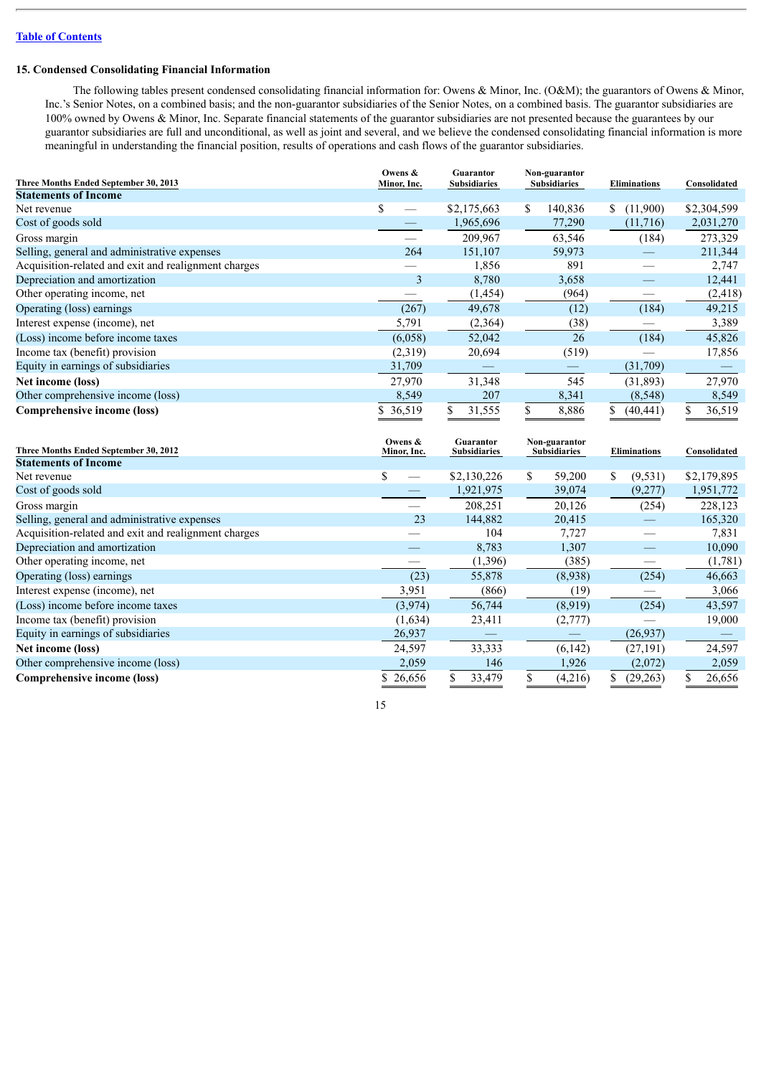### **15. Condensed Consolidating Financial Information**

The following tables present condensed consolidating financial information for: Owens & Minor, Inc. (O&M); the guarantors of Owens & Minor, Inc.'s Senior Notes, on a combined basis; and the non-guarantor subsidiaries of the Senior Notes, on a combined basis. The guarantor subsidiaries are 100% owned by Owens & Minor, Inc. Separate financial statements of the guarantor subsidiaries are not presented because the guarantees by our guarantor subsidiaries are full and unconditional, as well as joint and several, and we believe the condensed consolidating financial information is more meaningful in understanding the financial position, results of operations and cash flows of the guarantor subsidiaries.

| Three Months Ended September 30, 2013                | Owens &<br>Minor, Inc. | <b>Guarantor</b><br><b>Subsidiaries</b> | Non-guarantor<br><b>Subsidiaries</b> | <b>Eliminations</b> | Consolidated |
|------------------------------------------------------|------------------------|-----------------------------------------|--------------------------------------|---------------------|--------------|
| <b>Statements of Income</b>                          |                        |                                         |                                      |                     |              |
| Net revenue                                          | \$                     | \$2,175,663                             | \$<br>140,836                        | (11,900)<br>\$      | \$2,304,599  |
| Cost of goods sold                                   |                        | 1,965,696                               | 77,290                               | (11,716)            | 2,031,270    |
| Gross margin                                         |                        | 209,967                                 | 63,546                               | (184)               | 273,329      |
| Selling, general and administrative expenses         | 264                    | 151,107                                 | 59,973                               |                     | 211,344      |
| Acquisition-related and exit and realignment charges |                        | 1,856                                   | 891                                  |                     | 2,747        |
| Depreciation and amortization                        | 3                      | 8,780                                   | 3,658                                |                     | 12,441       |
| Other operating income, net                          |                        | (1, 454)                                | (964)                                |                     | (2, 418)     |
| Operating (loss) earnings                            | (267)                  | 49,678                                  | (12)                                 | (184)               | 49,215       |
| Interest expense (income), net                       | 5,791                  | (2,364)                                 | (38)                                 |                     | 3,389        |
| (Loss) income before income taxes                    | (6,058)                | 52,042                                  | 26                                   | (184)               | 45,826       |
| Income tax (benefit) provision                       | (2,319)                | 20,694                                  | (519)                                |                     | 17,856       |
| Equity in earnings of subsidiaries                   | 31,709                 |                                         |                                      | (31,709)            |              |
| Net income (loss)                                    | 27,970                 | 31,348                                  | 545                                  | (31,893)            | 27,970       |
| Other comprehensive income (loss)                    | 8,549                  | 207                                     | 8,341                                | (8, 548)            | 8,549        |
| Comprehensive income (loss)                          | \$36,519               | \$<br>31,555                            | 8,886<br>\$                          | \$<br>(40, 441)     | 36,519<br>\$ |
| Three Months Ended September 30, 2012                | Owens &<br>Minor, Inc. | <b>Guarantor</b><br><b>Subsidiaries</b> | Non-guarantor<br><b>Subsidiaries</b> | <b>Eliminations</b> | Consolidated |
| <b>Statements of Income</b>                          |                        |                                         |                                      |                     |              |
| Net revenue                                          | \$                     | \$2,130,226                             | \$<br>59,200                         | (9, 531)<br>S       | \$2,179,895  |
| Cost of goods sold                                   |                        | 1,921,975                               | 39,074                               | (9,277)             | 1,951,772    |
| Gross margin                                         |                        | 208,251                                 | 20,126                               | (254)               | 228,123      |
| Selling, general and administrative expenses         | 23                     | 144,882                                 | 20,415                               |                     | 165,320      |

| Selling, general and administrative expenses         | 23       | 144,882 | 20,415   |           | 165,320 |
|------------------------------------------------------|----------|---------|----------|-----------|---------|
| Acquisition-related and exit and realignment charges |          | 104     | 7,727    |           | 7,831   |
| Depreciation and amortization                        |          | 8,783   | 1,307    |           | 10,090  |
| Other operating income, net                          |          | (1,396) | (385)    |           | (1,781) |
| Operating (loss) earnings                            | (23)     | 55,878  | (8,938)  | (254)     | 46,663  |
| Interest expense (income), net                       | 3,951    | (866)   | (19)     |           | 3,066   |
| (Loss) income before income taxes                    | (3,974)  | 56,744  | (8,919)  | (254)     | 43,597  |
| Income tax (benefit) provision                       | (1,634)  | 23,411  | (2,777)  |           | 19,000  |
| Equity in earnings of subsidiaries                   | 26,937   |         |          | (26,937)  |         |
| Net income (loss)                                    | 24,597   | 33,333  | (6, 142) | (27, 191) | 24,597  |
| Other comprehensive income (loss)                    | 2,059    | 146     | 1,926    | (2,072)   | 2,059   |
| Comprehensive income (loss)                          | \$26,656 | 33,479  | (4,216)  | (29, 263) | 26,656  |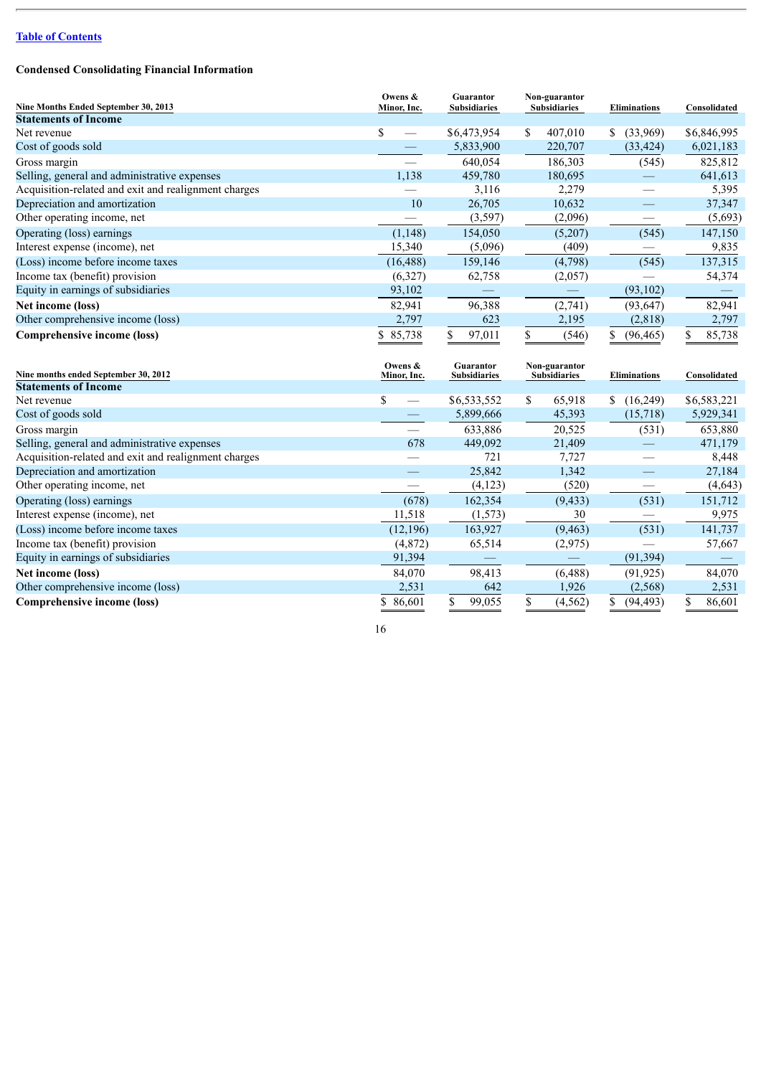### **Condensed Consolidating Financial Information**

| Nine Months Ended September 30, 2013                                                                                                                                                                                                                                                                                                                                                                                      | Owens &<br>Minor, Inc. | Guarantor<br><b>Subsidiaries</b> | Non-guarantor<br><b>Subsidiaries</b> | <b>Eliminations</b> | Consolidated |
|---------------------------------------------------------------------------------------------------------------------------------------------------------------------------------------------------------------------------------------------------------------------------------------------------------------------------------------------------------------------------------------------------------------------------|------------------------|----------------------------------|--------------------------------------|---------------------|--------------|
| <b>Statements of Income</b>                                                                                                                                                                                                                                                                                                                                                                                               |                        |                                  |                                      |                     |              |
| Net revenue                                                                                                                                                                                                                                                                                                                                                                                                               | S                      | \$6,473,954                      | \$<br>407,010                        | (33,969)<br>S.      | \$6,846,995  |
| Cost of goods sold                                                                                                                                                                                                                                                                                                                                                                                                        |                        | 5,833,900                        | 220,707                              | (33, 424)           | 6,021,183    |
| Gross margin                                                                                                                                                                                                                                                                                                                                                                                                              |                        | 640,054                          | 186,303                              | (545)               | 825,812      |
| Selling, general and administrative expenses                                                                                                                                                                                                                                                                                                                                                                              | 1,138                  | 459,780                          | 180,695                              |                     | 641,613      |
| Acquisition-related and exit and realignment charges                                                                                                                                                                                                                                                                                                                                                                      |                        | 3,116                            | 2,279                                |                     | 5,395        |
| Depreciation and amortization                                                                                                                                                                                                                                                                                                                                                                                             | 10                     | 26,705                           | 10,632                               |                     | 37,347       |
| Other operating income, net                                                                                                                                                                                                                                                                                                                                                                                               |                        | (3,597)                          | (2,096)                              |                     | (5,693)      |
| Operating (loss) earnings                                                                                                                                                                                                                                                                                                                                                                                                 | (1,148)                | 154,050                          | (5,207)                              | (545)               | 147,150      |
| Interest expense (income), net                                                                                                                                                                                                                                                                                                                                                                                            | 15,340                 | (5,096)                          | (409)                                |                     | 9,835        |
| (Loss) income before income taxes                                                                                                                                                                                                                                                                                                                                                                                         | (16, 488)              | 159,146                          | (4,798)                              | (545)               | 137,315      |
| Income tax (benefit) provision                                                                                                                                                                                                                                                                                                                                                                                            | (6,327)                | 62,758                           | (2,057)                              |                     | 54,374       |
| Equity in earnings of subsidiaries                                                                                                                                                                                                                                                                                                                                                                                        | 93,102                 |                                  |                                      | (93,102)            |              |
| Net income (loss)                                                                                                                                                                                                                                                                                                                                                                                                         | 82,941                 | 96,388                           | (2,741)                              | (93, 647)           | 82,941       |
| Other comprehensive income (loss)                                                                                                                                                                                                                                                                                                                                                                                         | 2,797                  | 623                              | 2,195                                | (2,818)             | 2,797        |
| Comprehensive income (loss)                                                                                                                                                                                                                                                                                                                                                                                               | \$85,738               | \$<br>97,011                     | (546)                                | (96, 465)           | 85,738       |
| $\mathbf{M}_{\text{max}}^{\text{max}}$ = $\mathbf{M}_{\text{max}}^{\text{max}}$ = $\mathbf{M}_{\text{max}}^{\text{max}}$ = $\mathbf{M}_{\text{max}}^{\text{max}}$ = $\mathbf{M}_{\text{max}}^{\text{max}}$ = $\mathbf{M}_{\text{max}}^{\text{max}}$ = $\mathbf{M}_{\text{max}}^{\text{max}}$ = $\mathbf{M}_{\text{max}}^{\text{max}}$ = $\mathbf{M}_{\text{max}}^{\text{max}}$ = $\mathbf{M}_{\text{max}}^{\text{max}}$ = | Owens &                | <b>Guarantor</b>                 | Non-guarantor                        | $\cdots$            |              |

| Nine months ended September 30, 2012                 | Minor, Inc. | <b>Subsidiaries</b> | <b>Subsidiaries</b> | <b>Eliminations</b> | Consolidated |
|------------------------------------------------------|-------------|---------------------|---------------------|---------------------|--------------|
| <b>Statements of Income</b>                          |             |                     |                     |                     |              |
| Net revenue                                          |             | \$6,533,552         | \$<br>65,918        | (16,249)<br>S.      | \$6,583,221  |
| Cost of goods sold                                   |             | 5,899,666           | 45,393              | (15,718)            | 5,929,341    |
| Gross margin                                         |             | 633,886             | 20,525              | (531)               | 653,880      |
| Selling, general and administrative expenses         | 678         | 449,092             | 21,409              |                     | 471,179      |
| Acquisition-related and exit and realignment charges |             | 721                 | 7,727               |                     | 8,448        |
| Depreciation and amortization                        |             | 25,842              | 1,342               |                     | 27,184       |
| Other operating income, net                          |             | (4,123)             | (520)               |                     | (4, 643)     |
| Operating (loss) earnings                            | (678)       | 162,354             | (9, 433)            | (531)               | 151,712      |
| Interest expense (income), net                       | 11,518      | (1,573)             | 30                  |                     | 9,975        |
| (Loss) income before income taxes                    | (12, 196)   | 163,927             | (9, 463)            | (531)               | 141,737      |
| Income tax (benefit) provision                       | (4,872)     | 65,514              | (2,975)             |                     | 57,667       |
| Equity in earnings of subsidiaries                   | 91,394      |                     |                     | (91, 394)           |              |
| Net income (loss)                                    | 84,070      | 98,413              | (6, 488)            | (91, 925)           | 84,070       |
| Other comprehensive income (loss)                    | 2,531       | 642                 | 1,926               | (2, 568)            | 2,531        |
| Comprehensive income (loss)                          | \$ 86,601   | 99,055              | (4, 562)            | (94, 493)           | 86,601       |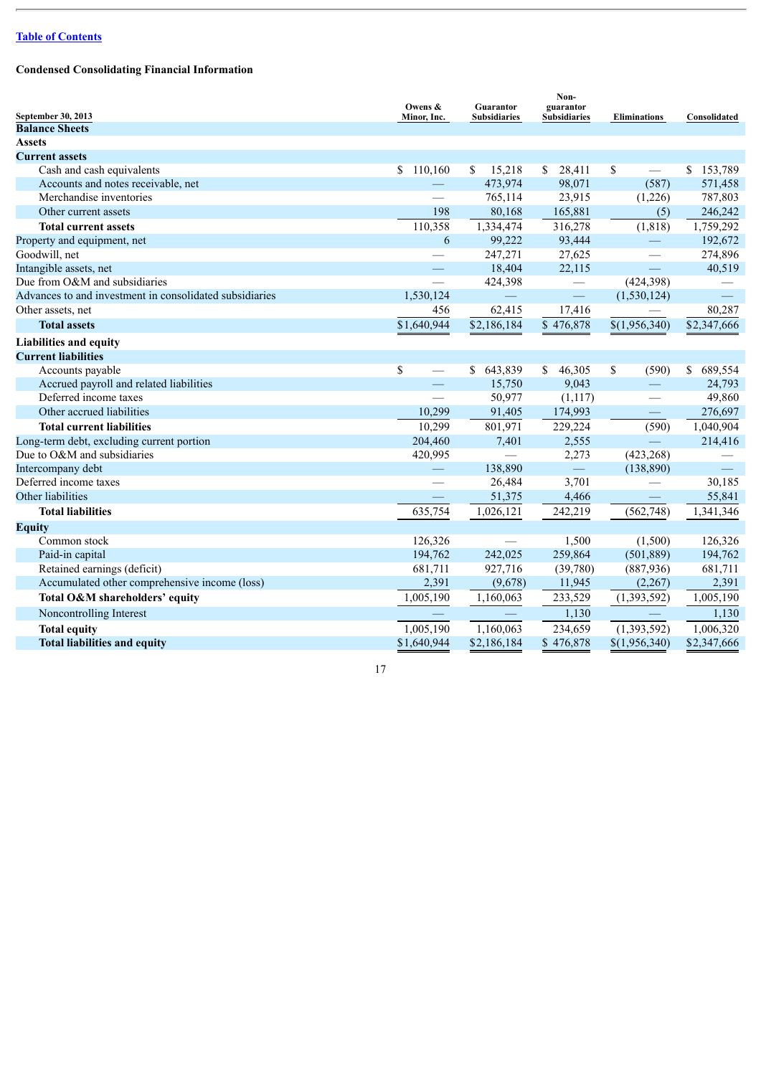### **Condensed Consolidating Financial Information**

| <b>September 30, 2013</b>                               | Owens &<br>Minor, Inc.   | Guarantor<br><b>Subsidiaries</b> | Non-<br>guarantor<br><b>Subsidiaries</b> | <b>Eliminations</b>            | Consolidated             |
|---------------------------------------------------------|--------------------------|----------------------------------|------------------------------------------|--------------------------------|--------------------------|
| <b>Balance Sheets</b>                                   |                          |                                  |                                          |                                |                          |
| <b>Assets</b>                                           |                          |                                  |                                          |                                |                          |
| <b>Current assets</b>                                   |                          |                                  |                                          |                                |                          |
| Cash and cash equivalents                               | \$110,160                | 15,218<br>\$                     | 28,411<br>\$                             | \$<br>$\overline{\phantom{0}}$ | \$153,789                |
| Accounts and notes receivable, net                      |                          | 473,974                          | 98,071                                   | (587)                          | 571,458                  |
| Merchandise inventories                                 |                          | 765,114                          | 23,915                                   | (1,226)                        | 787,803                  |
| Other current assets                                    | 198                      | 80,168                           | 165,881                                  | (5)                            | 246,242                  |
| <b>Total current assets</b>                             | 110,358                  | 1,334,474                        | 316,278                                  | (1, 818)                       | 1,759,292                |
| Property and equipment, net                             | 6                        | 99,222                           | 93,444                                   |                                | 192,672                  |
| Goodwill, net                                           |                          | 247,271                          | 27,625                                   |                                | 274,896                  |
| Intangible assets, net                                  |                          | 18,404                           | 22,115                                   | ᆖ                              | 40,519                   |
| Due from O&M and subsidiaries                           |                          | 424,398                          |                                          | (424, 398)                     |                          |
| Advances to and investment in consolidated subsidiaries | 1,530,124                |                                  | $\frac{1}{2}$                            | (1,530,124)                    |                          |
| Other assets, net                                       | 456                      | 62,415                           | 17,416                                   |                                | 80,287                   |
| <b>Total assets</b>                                     | \$1,640,944              | \$2,186,184                      | \$476,878                                | \$(1,956,340)                  | \$2,347,666              |
| <b>Liabilities and equity</b>                           |                          |                                  |                                          |                                |                          |
| <b>Current liabilities</b>                              |                          |                                  |                                          |                                |                          |
| Accounts payable                                        | \$                       | \$643,839                        | 46,305<br>\$                             | \$<br>(590)                    | \$<br>689,554            |
| Accrued payroll and related liabilities                 |                          | 15,750                           | 9,043                                    |                                | 24,793                   |
| Deferred income taxes                                   |                          | 50,977                           | (1,117)                                  |                                | 49,860                   |
| Other accrued liabilities                               | 10,299                   | 91,405                           | 174,993                                  |                                | 276,697                  |
| <b>Total current liabilities</b>                        | 10,299                   | 801,971                          | 229,224                                  | (590)                          | 1,040,904                |
| Long-term debt, excluding current portion               | 204,460                  | 7,401                            | 2,555                                    | $\equiv$                       | 214,416                  |
| Due to O&M and subsidiaries                             | 420,995                  |                                  | 2,273                                    | (423, 268)                     |                          |
| Intercompany debt                                       | $\overline{\phantom{m}}$ | 138,890                          | $\overline{\phantom{m}}$                 | (138, 890)                     | $\overline{\phantom{m}}$ |
| Deferred income taxes                                   | $\overline{\phantom{a}}$ | 26,484                           | 3,701                                    | $\overline{\phantom{0}}$       | 30,185                   |
| Other liabilities                                       |                          | 51,375                           | 4,466                                    |                                | 55,841                   |
| <b>Total liabilities</b>                                | 635,754                  | 1,026,121                        | 242,219                                  | (562,748)                      | 1,341,346                |
| <b>Equity</b>                                           |                          |                                  |                                          |                                |                          |
| Common stock                                            | 126,326                  |                                  | 1,500                                    | (1,500)                        | 126,326                  |
| Paid-in capital                                         | 194,762                  | 242,025                          | 259,864                                  | (501, 889)                     | 194,762                  |
| Retained earnings (deficit)                             | 681,711                  | 927,716                          | (39,780)                                 | (887,936)                      | 681,711                  |
| Accumulated other comprehensive income (loss)           | 2,391                    | (9,678)                          | 11,945                                   | (2,267)                        | 2,391                    |
| Total O&M shareholders' equity                          | 1,005,190                | 1,160,063                        | 233,529                                  | (1,393,592)                    | 1,005,190                |
| Noncontrolling Interest                                 |                          |                                  | 1,130                                    |                                | 1,130                    |
| <b>Total equity</b>                                     | 1,005,190                | 1,160,063                        | 234,659                                  | (1, 393, 592)                  | 1,006,320                |
| <b>Total liabilities and equity</b>                     | \$1,640,944              | \$2,186,184                      | \$476,878                                | \$(1,956,340)                  | \$2,347,666              |
|                                                         |                          |                                  |                                          |                                |                          |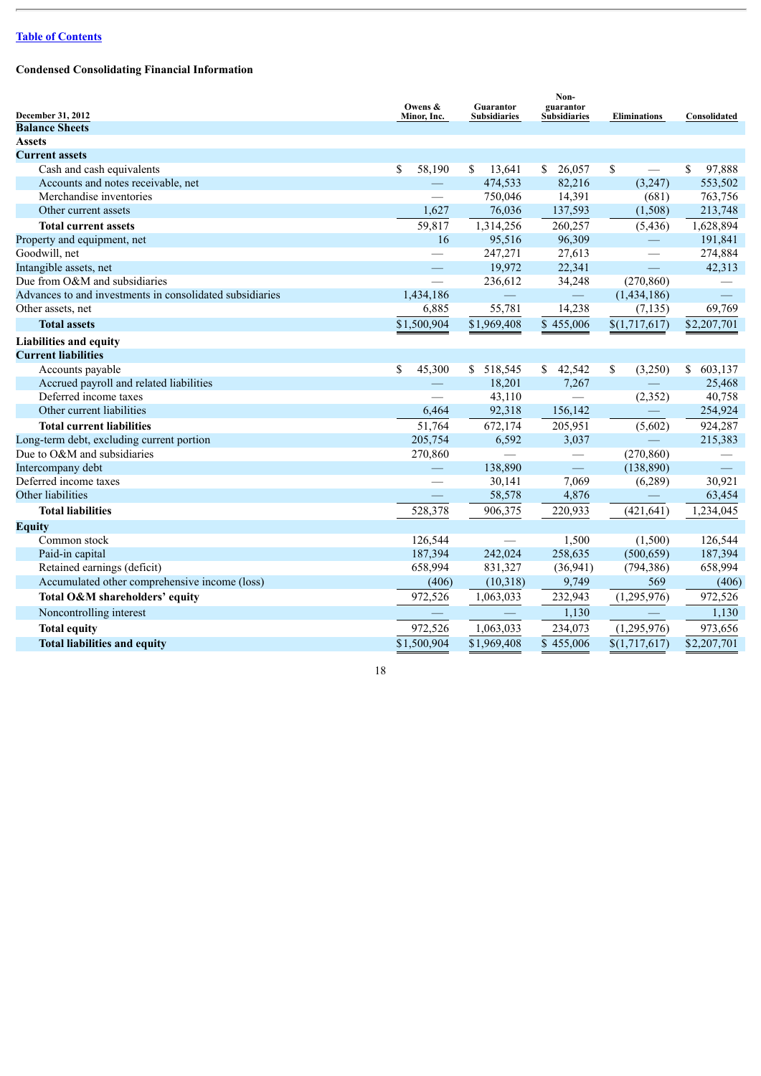### **Condensed Consolidating Financial Information**

| December 31, 2012                                        | Owens &<br>Minor, Inc.   | Guarantor<br><b>Subsidiaries</b> | Non-<br>guarantor<br><b>Subsidiaries</b> | <b>Eliminations</b>      | Consolidated             |
|----------------------------------------------------------|--------------------------|----------------------------------|------------------------------------------|--------------------------|--------------------------|
| <b>Balance Sheets</b>                                    |                          |                                  |                                          |                          |                          |
| <b>Assets</b>                                            |                          |                                  |                                          |                          |                          |
| <b>Current assets</b>                                    |                          |                                  |                                          |                          |                          |
| Cash and cash equivalents                                | \$<br>58,190             | \$<br>13,641                     | 26,057<br>\$                             | \$<br>$\qquad \qquad$    | \$<br>97,888             |
| Accounts and notes receivable, net                       |                          | 474,533                          | 82,216                                   | (3,247)                  | 553,502                  |
| Merchandise inventories                                  | $\overline{\phantom{0}}$ | 750,046                          | 14,391                                   | (681)                    | 763,756                  |
| Other current assets                                     | 1.627                    | 76,036                           | 137,593                                  | (1,508)                  | 213,748                  |
| <b>Total current assets</b>                              | 59,817                   | 1,314,256                        | 260,257                                  | (5, 436)                 | 1,628,894                |
| Property and equipment, net                              | 16                       | 95,516                           | 96,309                                   |                          | 191,841                  |
| Goodwill, net                                            | $\overline{\phantom{a}}$ | 247,271                          | 27,613                                   | $\overline{\phantom{0}}$ | 274,884                  |
| Intangible assets, net                                   |                          | 19,972                           | 22,341                                   |                          | 42,313                   |
| Due from O&M and subsidiaries                            |                          | 236,612                          | 34,248                                   | (270, 860)               |                          |
| Advances to and investments in consolidated subsidiaries | 1,434,186                |                                  | $\equiv$                                 | (1,434,186)              | $\overline{\phantom{a}}$ |
| Other assets, net                                        | 6,885                    | 55,781                           | 14,238                                   | (7, 135)                 | 69,769                   |
| <b>Total assets</b>                                      | \$1,500,904              | \$1,969,408                      | \$455,006                                | \$(1,717,617)            | \$2,207,701              |
| <b>Liabilities and equity</b>                            |                          |                                  |                                          |                          |                          |
| <b>Current liabilities</b>                               |                          |                                  |                                          |                          |                          |
| Accounts payable                                         | \$<br>45,300             | \$518,545                        | 42,542<br>S.                             | S.<br>(3,250)            | \$603,137                |
| Accrued payroll and related liabilities                  |                          | 18,201                           | 7,267                                    | $\equiv$                 | 25,468                   |
| Deferred income taxes                                    |                          | 43,110                           | $\equiv$                                 | (2,352)                  | 40,758                   |
| Other current liabilities                                | 6,464                    | 92,318                           | 156,142                                  |                          | 254,924                  |
| <b>Total current liabilities</b>                         | 51.764                   | 672,174                          | 205,951                                  | (5,602)                  | 924,287                  |
| Long-term debt, excluding current portion                | 205,754                  | 6,592                            | 3,037                                    | $\overline{\phantom{0}}$ | 215,383                  |
| Due to O&M and subsidiaries                              | 270,860                  | $\overline{\phantom{0}}$         |                                          | (270, 860)               |                          |
| Intercompany debt                                        | $\qquad \qquad -$        | 138,890                          | $\equiv$                                 | (138, 890)               |                          |
| Deferred income taxes                                    |                          | 30,141                           | 7,069                                    | (6, 289)                 | 30,921                   |
| Other liabilities                                        | $\equiv$                 | 58,578                           | 4,876                                    |                          | 63,454                   |
| <b>Total liabilities</b>                                 | 528,378                  | 906,375                          | 220,933                                  | (421, 641)               | 1,234,045                |
| <b>Equity</b>                                            |                          |                                  |                                          |                          |                          |
| Common stock                                             | 126,544                  |                                  | 1,500                                    | (1,500)                  | 126,544                  |
| Paid-in capital                                          | 187,394                  | 242,024                          | 258,635                                  | (500, 659)               | 187,394                  |
| Retained earnings (deficit)                              | 658,994                  | 831,327                          | (36,941)                                 | (794, 386)               | 658,994                  |
| Accumulated other comprehensive income (loss)            | (406)                    | (10,318)                         | 9,749                                    | 569                      | (406)                    |
| Total O&M shareholders' equity                           | 972,526                  | 1,063,033                        | 232,943                                  | (1,295,976)              | 972,526                  |
| Noncontrolling interest                                  |                          |                                  | 1,130                                    |                          | 1,130                    |
| <b>Total equity</b>                                      | 972,526                  | 1,063,033                        | 234,073                                  | (1,295,976)              | 973,656                  |
| <b>Total liabilities and equity</b>                      | \$1,500,904              | \$1,969,408                      | \$455,006                                | \$(1,717,617)            | \$2,207,701              |
|                                                          |                          |                                  |                                          |                          |                          |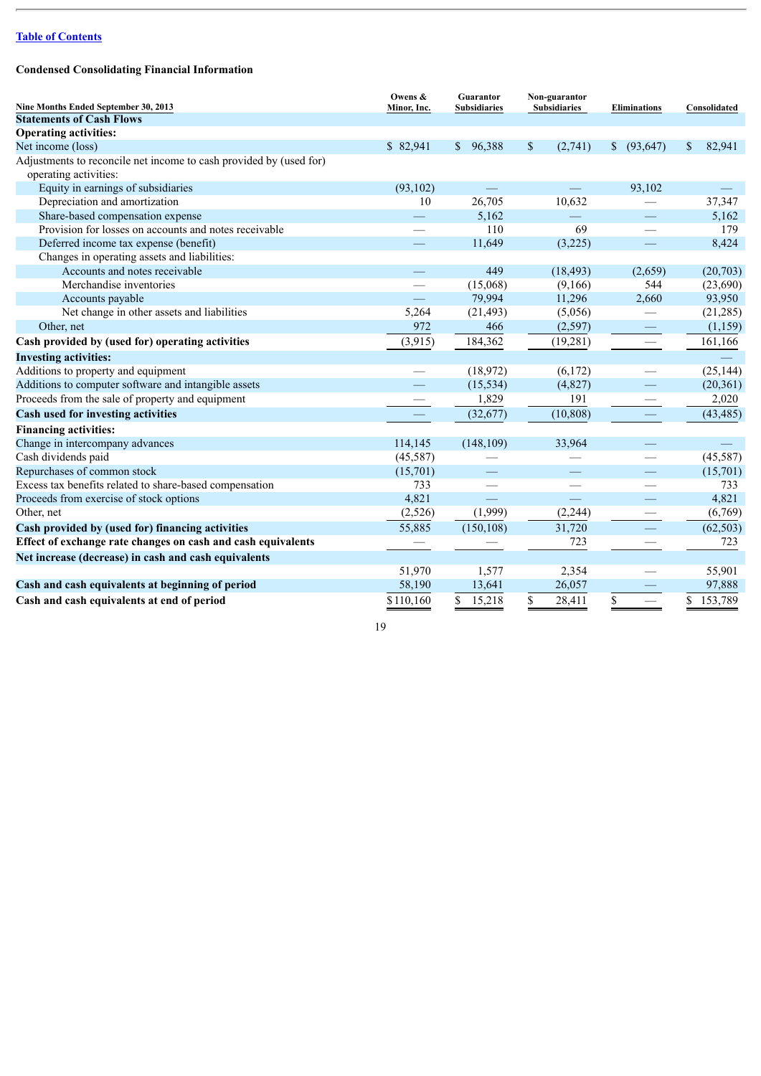### **Condensed Consolidating Financial Information**

| Nine Months Ended September 30, 2013                               | Owens &<br>Minor, Inc. | Guarantor<br><b>Subsidiaries</b> | Non-guarantor<br><b>Subsidiaries</b> | <b>Eliminations</b>             | Consolidated |
|--------------------------------------------------------------------|------------------------|----------------------------------|--------------------------------------|---------------------------------|--------------|
| <b>Statements of Cash Flows</b>                                    |                        |                                  |                                      |                                 |              |
| <b>Operating activities:</b>                                       |                        |                                  |                                      |                                 |              |
| Net income (loss)                                                  | \$82,941               | \$96,388                         | \$<br>(2,741)                        | \$ (93,647)                     | 82,941<br>\$ |
| Adjustments to reconcile net income to cash provided by (used for) |                        |                                  |                                      |                                 |              |
| operating activities:                                              |                        |                                  |                                      |                                 |              |
| Equity in earnings of subsidiaries                                 | (93,102)               |                                  |                                      | 93.102                          |              |
| Depreciation and amortization                                      | 10                     | 26,705                           | 10,632                               |                                 | 37,347       |
| Share-based compensation expense                                   |                        | 5,162                            |                                      | $\qquad \qquad -$               | 5,162        |
| Provision for losses on accounts and notes receivable              |                        | 110                              | 69                                   |                                 | 179          |
| Deferred income tax expense (benefit)                              |                        | 11,649                           | (3,225)                              |                                 | 8,424        |
| Changes in operating assets and liabilities:                       |                        |                                  |                                      |                                 |              |
| Accounts and notes receivable                                      |                        | 449                              | (18, 493)                            | (2,659)                         | (20,703)     |
| Merchandise inventories                                            |                        | (15,068)                         | (9,166)                              | 544                             | (23,690)     |
| Accounts payable                                                   |                        | 79,994                           | 11,296                               | 2,660                           | 93,950       |
| Net change in other assets and liabilities                         | 5,264                  | (21, 493)                        | (5,056)                              |                                 | (21, 285)    |
| Other, net                                                         | 972                    | 466                              | (2,597)                              | $\overline{\phantom{m}}$        | (1,159)      |
| Cash provided by (used for) operating activities                   | (3,915)                | 184,362                          | (19, 281)                            |                                 | 161,166      |
| <b>Investing activities:</b>                                       |                        |                                  |                                      |                                 |              |
| Additions to property and equipment                                |                        | (18,972)                         | (6,172)                              |                                 | (25, 144)    |
| Additions to computer software and intangible assets               |                        | (15, 534)                        | (4,827)                              | $\hspace{0.05cm}$               | (20, 361)    |
| Proceeds from the sale of property and equipment                   |                        | 1,829                            | 191                                  |                                 | 2,020        |
| Cash used for investing activities                                 |                        | (32,677)                         | (10, 808)                            | $\hspace{0.1mm}-\hspace{0.1mm}$ | (43, 485)    |
| <b>Financing activities:</b>                                       |                        |                                  |                                      |                                 |              |
| Change in intercompany advances                                    | 114,145                | (148, 109)                       | 33,964                               |                                 |              |
| Cash dividends paid                                                | (45,587)               |                                  |                                      |                                 | (45, 587)    |
| Repurchases of common stock                                        | (15,701)               |                                  |                                      | $\overline{\phantom{0}}$        | (15,701)     |
| Excess tax benefits related to share-based compensation            | 733                    |                                  |                                      |                                 | 733          |
| Proceeds from exercise of stock options                            | 4,821                  |                                  |                                      | $\overline{\phantom{0}}$        | 4,821        |
| Other, net                                                         | (2,526)                | (1,999)                          | (2, 244)                             |                                 | (6,769)      |
| Cash provided by (used for) financing activities                   | 55,885                 | (150, 108)                       | 31,720                               | $\qquad \qquad -$               | (62, 503)    |
| Effect of exchange rate changes on cash and cash equivalents       |                        |                                  | 723                                  |                                 | 723          |
| Net increase (decrease) in cash and cash equivalents               |                        |                                  |                                      |                                 |              |
|                                                                    | 51,970                 | 1,577                            | 2,354                                |                                 | 55,901       |
| Cash and cash equivalents at beginning of period                   | 58,190                 | 13,641                           | 26,057                               |                                 | 97,888       |
| Cash and cash equivalents at end of period                         | \$110,160              | \$15,218                         | \$<br>28,411                         | \$<br>$\overline{\phantom{0}}$  | \$153,789    |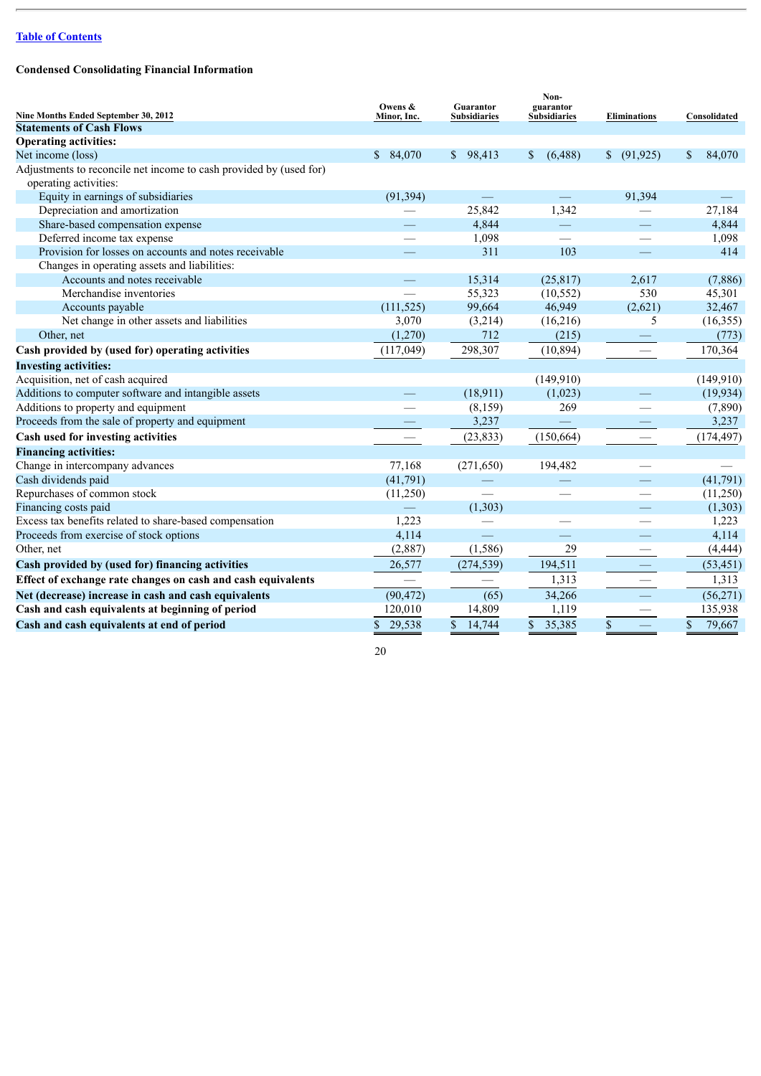### **Condensed Consolidating Financial Information**

| <b>Nine Months Ended September 30, 2012</b>                        | Owens &<br>Minor, Inc.   | <b>Guarantor</b><br><b>Subsidiaries</b> | Non-<br>guarantor<br><b>Subsidiaries</b> | <b>Eliminations</b> | Consolidated          |
|--------------------------------------------------------------------|--------------------------|-----------------------------------------|------------------------------------------|---------------------|-----------------------|
| <b>Statements of Cash Flows</b>                                    |                          |                                         |                                          |                     |                       |
| <b>Operating activities:</b>                                       |                          |                                         |                                          |                     |                       |
| Net income (loss)                                                  | $\mathbb{S}$<br>84,070   | \$98,413                                | $\mathbb{S}$<br>(6,488)                  | \$ (91,925)         | \$<br>84,070          |
| Adjustments to reconcile net income to cash provided by (used for) |                          |                                         |                                          |                     |                       |
| operating activities:                                              |                          |                                         |                                          |                     |                       |
| Equity in earnings of subsidiaries                                 | (91, 394)                | $\qquad \qquad =$                       | $\qquad \qquad =$                        | 91.394              |                       |
| Depreciation and amortization                                      |                          | 25,842                                  | 1,342                                    |                     | 27,184                |
| Share-based compensation expense                                   |                          | 4,844                                   | $\overline{\phantom{0}}$                 |                     | 4,844                 |
| Deferred income tax expense                                        |                          | 1,098                                   |                                          |                     | 1,098                 |
| Provision for losses on accounts and notes receivable              |                          | 311                                     | 103                                      |                     | 414                   |
| Changes in operating assets and liabilities:                       |                          |                                         |                                          |                     |                       |
| Accounts and notes receivable                                      | $\equiv$                 | 15,314                                  | (25, 817)                                | 2,617               | (7,886)               |
| Merchandise inventories                                            |                          | 55,323                                  | (10, 552)                                | 530                 | 45,301                |
| Accounts payable                                                   | (111, 525)               | 99,664                                  | 46,949                                   | (2,621)             | 32,467                |
| Net change in other assets and liabilities                         | 3,070                    | (3,214)                                 | (16,216)                                 | 5                   | (16, 355)             |
| Other, net                                                         | (1,270)                  | 712                                     | (215)                                    |                     | (773)                 |
| Cash provided by (used for) operating activities                   | (117,049)                | 298,307                                 | (10, 894)                                |                     | 170,364               |
| <b>Investing activities:</b>                                       |                          |                                         |                                          |                     |                       |
| Acquisition, net of cash acquired                                  |                          |                                         | (149,910)                                |                     | (149,910)             |
| Additions to computer software and intangible assets               |                          | (18,911)                                | (1,023)                                  |                     | (19, 934)             |
| Additions to property and equipment                                |                          | (8,159)                                 | 269                                      |                     | (7,890)               |
| Proceeds from the sale of property and equipment                   |                          | 3,237                                   | $\overline{\phantom{0}}$                 |                     | 3,237                 |
| Cash used for investing activities                                 |                          | (23, 833)                               | (150, 664)                               |                     | (174, 497)            |
| <b>Financing activities:</b>                                       |                          |                                         |                                          |                     |                       |
| Change in intercompany advances                                    | 77,168                   | (271, 650)                              | 194,482                                  |                     |                       |
| Cash dividends paid                                                | (41,791)                 |                                         |                                          |                     | (41,791)              |
| Repurchases of common stock                                        | (11,250)                 |                                         |                                          |                     | (11,250)              |
| Financing costs paid                                               | $\overline{\phantom{0}}$ | (1,303)                                 |                                          |                     | (1,303)               |
| Excess tax benefits related to share-based compensation            | 1,223                    |                                         |                                          |                     | 1,223                 |
| Proceeds from exercise of stock options                            | 4,114                    |                                         |                                          |                     | 4,114                 |
| Other, net                                                         | (2,887)                  | (1, 586)                                | 29                                       |                     | (4, 444)              |
| Cash provided by (used for) financing activities                   | 26,577                   | (274, 539)                              | 194,511                                  |                     | (53, 451)             |
| Effect of exchange rate changes on cash and cash equivalents       | $\overline{\phantom{0}}$ |                                         | 1,313                                    |                     | 1,313                 |
| Net (decrease) increase in cash and cash equivalents               | (90, 472)                | (65)                                    | 34,266                                   |                     | (56,271)              |
| Cash and cash equivalents at beginning of period                   | 120,010                  | 14,809                                  | 1,119                                    |                     | 135,938               |
| Cash and cash equivalents at end of period                         | 29,538<br>\$             | \$14,744                                | 35,385<br>$\mathbb{S}$                   | \$                  | 79,667<br>$\mathbf S$ |
|                                                                    |                          |                                         |                                          |                     |                       |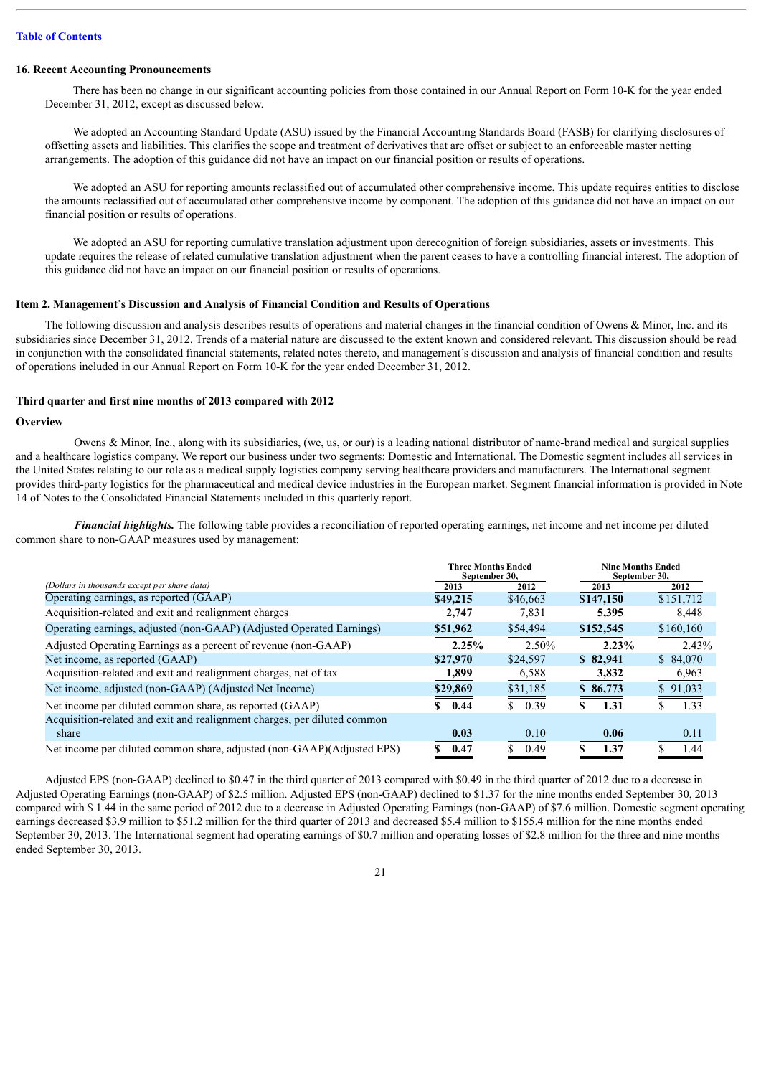#### **16. Recent Accounting Pronouncements**

There has been no change in our significant accounting policies from those contained in our Annual Report on Form 10-K for the year ended December 31, 2012, except as discussed below.

We adopted an Accounting Standard Update (ASU) issued by the Financial Accounting Standards Board (FASB) for clarifying disclosures of offsetting assets and liabilities. This clarifies the scope and treatment of derivatives that are offset or subject to an enforceable master netting arrangements. The adoption of this guidance did not have an impact on our financial position or results of operations.

We adopted an ASU for reporting amounts reclassified out of accumulated other comprehensive income. This update requires entities to disclose the amounts reclassified out of accumulated other comprehensive income by component. The adoption of this guidance did not have an impact on our financial position or results of operations.

We adopted an ASU for reporting cumulative translation adjustment upon derecognition of foreign subsidiaries, assets or investments. This update requires the release of related cumulative translation adjustment when the parent ceases to have a controlling financial interest. The adoption of this guidance did not have an impact on our financial position or results of operations.

### <span id="page-20-0"></span>**Item 2. Management's Discussion and Analysis of Financial Condition and Results of Operations**

The following discussion and analysis describes results of operations and material changes in the financial condition of Owens & Minor, Inc. and its subsidiaries since December 31, 2012. Trends of a material nature are discussed to the extent known and considered relevant. This discussion should be read in conjunction with the consolidated financial statements, related notes thereto, and management's discussion and analysis of financial condition and results of operations included in our Annual Report on Form 10-K for the year ended December 31, 2012.

### **Third quarter and first nine months of 2013 compared with 2012**

#### **Overview**

Owens & Minor, Inc., along with its subsidiaries, (we, us, or our) is a leading national distributor of name-brand medical and surgical supplies and a healthcare logistics company. We report our business under two segments: Domestic and International. The Domestic segment includes all services in the United States relating to our role as a medical supply logistics company serving healthcare providers and manufacturers. The International segment provides third-party logistics for the pharmaceutical and medical device industries in the European market. Segment financial information is provided in Note 14 of Notes to the Consolidated Financial Statements included in this quarterly report.

*Financial highlights.* The following table provides a reconciliation of reported operating earnings, net income and net income per diluted common share to non-GAAP measures used by management:

|                                                                          | <b>Three Months Ended</b><br>September 30, |                      | <b>Nine Months Ended</b><br>September 30, |           |
|--------------------------------------------------------------------------|--------------------------------------------|----------------------|-------------------------------------------|-----------|
| (Dollars in thousands except per share data)                             | 2013                                       | 2012                 | 2013                                      | 2012      |
| Operating earnings, as reported (GAAP)                                   | \$49,215                                   | \$46,663             | \$147,150                                 | \$151,712 |
| Acquisition-related and exit and realignment charges                     | 2,747                                      | 7,831                | 5,395                                     | 8,448     |
| Operating earnings, adjusted (non-GAAP) (Adjusted Operated Earnings)     | \$51,962                                   | \$54,494             | \$152,545                                 | \$160,160 |
| Adjusted Operating Earnings as a percent of revenue (non-GAAP)           | 2.25%                                      | 2.50%                | 2.23%                                     | 2.43%     |
| Net income, as reported (GAAP)                                           | \$27,970                                   | \$24,597             | \$82.941                                  | \$ 84,070 |
| Acquisition-related and exit and realignment charges, net of tax         | 1,899                                      | 6,588                | 3,832                                     | 6,963     |
| Net income, adjusted (non-GAAP) (Adjusted Net Income)                    | \$29,869                                   | \$31,185             | \$86,773                                  | \$91,033  |
| Net income per diluted common share, as reported (GAAP)                  | 0.44                                       | 0.39<br>$\mathbf{s}$ | 1.31                                      | 1.33      |
| Acquisition-related and exit and realignment charges, per diluted common |                                            |                      |                                           |           |
| share                                                                    | 0.03                                       | 0.10                 | 0.06                                      | 0.11      |
| Net income per diluted common share, adjusted (non-GAAP)(Adjusted EPS)   | 0.47                                       | 0.49                 | 1.37                                      | l.44      |

Adjusted EPS (non-GAAP) declined to \$0.47 in the third quarter of 2013 compared with \$0.49 in the third quarter of 2012 due to a decrease in Adjusted Operating Earnings (non-GAAP) of \$2.5 million. Adjusted EPS (non-GAAP) declined to \$1.37 for the nine months ended September 30, 2013 compared with \$ 1.44 in the same period of 2012 due to a decrease in Adjusted Operating Earnings (non-GAAP) of \$7.6 million. Domestic segment operating earnings decreased \$3.9 million to \$51.2 million for the third quarter of 2013 and decreased \$5.4 million to \$155.4 million for the nine months ended September 30, 2013. The International segment had operating earnings of \$0.7 million and operating losses of \$2.8 million for the three and nine months ended September 30, 2013.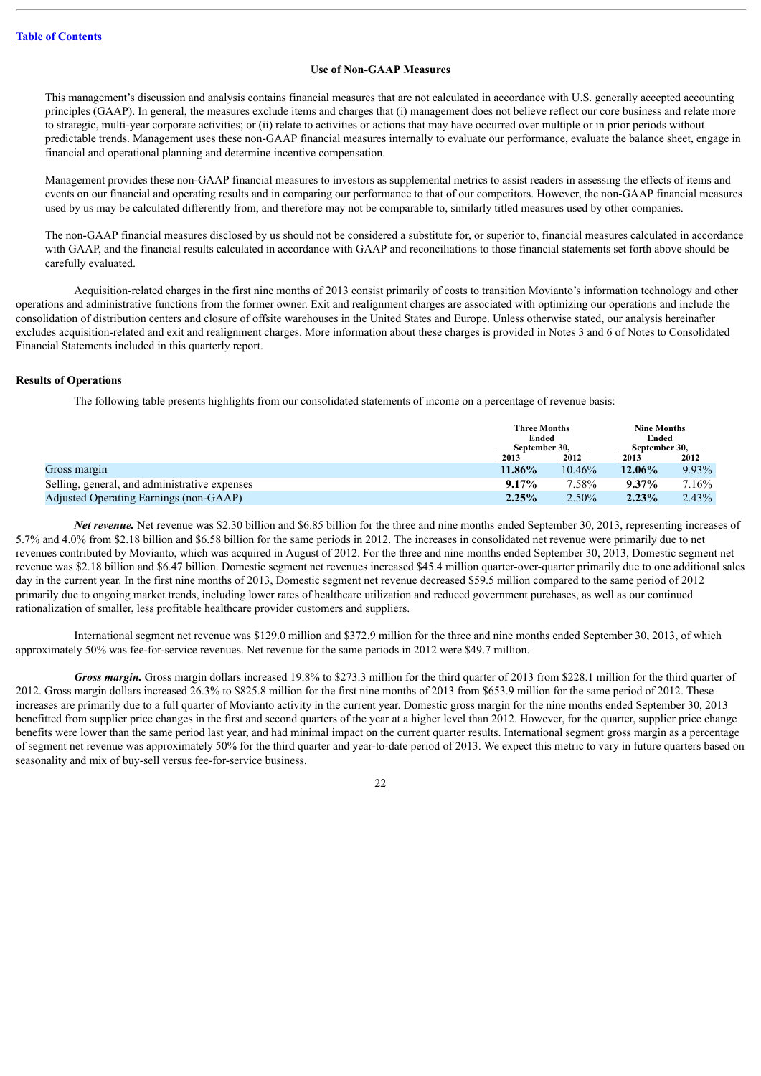### **Use of Non-GAAP Measures**

This management's discussion and analysis contains financial measures that are not calculated in accordance with U.S. generally accepted accounting principles (GAAP). In general, the measures exclude items and charges that (i) management does not believe reflect our core business and relate more to strategic, multi-year corporate activities; or (ii) relate to activities or actions that may have occurred over multiple or in prior periods without predictable trends. Management uses these non-GAAP financial measures internally to evaluate our performance, evaluate the balance sheet, engage in financial and operational planning and determine incentive compensation.

Management provides these non-GAAP financial measures to investors as supplemental metrics to assist readers in assessing the effects of items and events on our financial and operating results and in comparing our performance to that of our competitors. However, the non-GAAP financial measures used by us may be calculated differently from, and therefore may not be comparable to, similarly titled measures used by other companies.

The non-GAAP financial measures disclosed by us should not be considered a substitute for, or superior to, financial measures calculated in accordance with GAAP, and the financial results calculated in accordance with GAAP and reconciliations to those financial statements set forth above should be carefully evaluated.

Acquisition-related charges in the first nine months of 2013 consist primarily of costs to transition Movianto's information technology and other operations and administrative functions from the former owner. Exit and realignment charges are associated with optimizing our operations and include the consolidation of distribution centers and closure of offsite warehouses in the United States and Europe. Unless otherwise stated, our analysis hereinafter excludes acquisition-related and exit and realignment charges. More information about these charges is provided in Notes 3 and 6 of Notes to Consolidated Financial Statements included in this quarterly report.

#### **Results of Operations**

The following table presents highlights from our consolidated statements of income on a percentage of revenue basis:

|                                               | <b>Three Months</b> |               | <b>Nine Months</b> |               |
|-----------------------------------------------|---------------------|---------------|--------------------|---------------|
|                                               | Ended               |               | Ended              |               |
|                                               |                     | September 30. |                    | September 30. |
|                                               | <u>2013</u>         | 2012          | 2013               | 2012          |
| Gross margin                                  | 11.86%              | 10.46%        | 12.06%             | 9.93%         |
| Selling, general, and administrative expenses | $9.17\%$            | 7.58%         | $9.37\%$           | 7.16%         |
| Adjusted Operating Earnings (non-GAAP)        | 2.25%               | $2.50\%$      | 2.23%              | 2.43%         |

*Net revenue*. Net revenue was \$2.30 billion and \$6.85 billion for the three and nine months ended September 30, 2013, representing increases of 5.7% and 4.0% from \$2.18 billion and \$6.58 billion for the same periods in 2012. The increases in consolidated net revenue were primarily due to net revenues contributed by Movianto, which was acquired in August of 2012. For the three and nine months ended September 30, 2013, Domestic segment net revenue was \$2.18 billion and \$6.47 billion. Domestic segment net revenues increased \$45.4 million quarter-over-quarter primarily due to one additional sales day in the current year. In the first nine months of 2013, Domestic segment net revenue decreased \$59.5 million compared to the same period of 2012 primarily due to ongoing market trends, including lower rates of healthcare utilization and reduced government purchases, as well as our continued rationalization of smaller, less profitable healthcare provider customers and suppliers.

International segment net revenue was \$129.0 million and \$372.9 million for the three and nine months ended September 30, 2013, of which approximately 50% was fee-for-service revenues. Net revenue for the same periods in 2012 were \$49.7 million.

*Gross margin.* Gross margin dollars increased 19.8% to \$273.3 million for the third quarter of 2013 from \$228.1 million for the third quarter of 2012. Gross margin dollars increased 26.3% to \$825.8 million for the first nine months of 2013 from \$653.9 million for the same period of 2012. These increases are primarily due to a full quarter of Movianto activity in the current year. Domestic gross margin for the nine months ended September 30, 2013 benefitted from supplier price changes in the first and second quarters of the year at a higher level than 2012. However, for the quarter, supplier price change benefits were lower than the same period last year, and had minimal impact on the current quarter results. International segment gross margin as a percentage of segment net revenue was approximately 50% for the third quarter and year-to-date period of 2013. We expect this metric to vary in future quarters based on seasonality and mix of buy-sell versus fee-for-service business.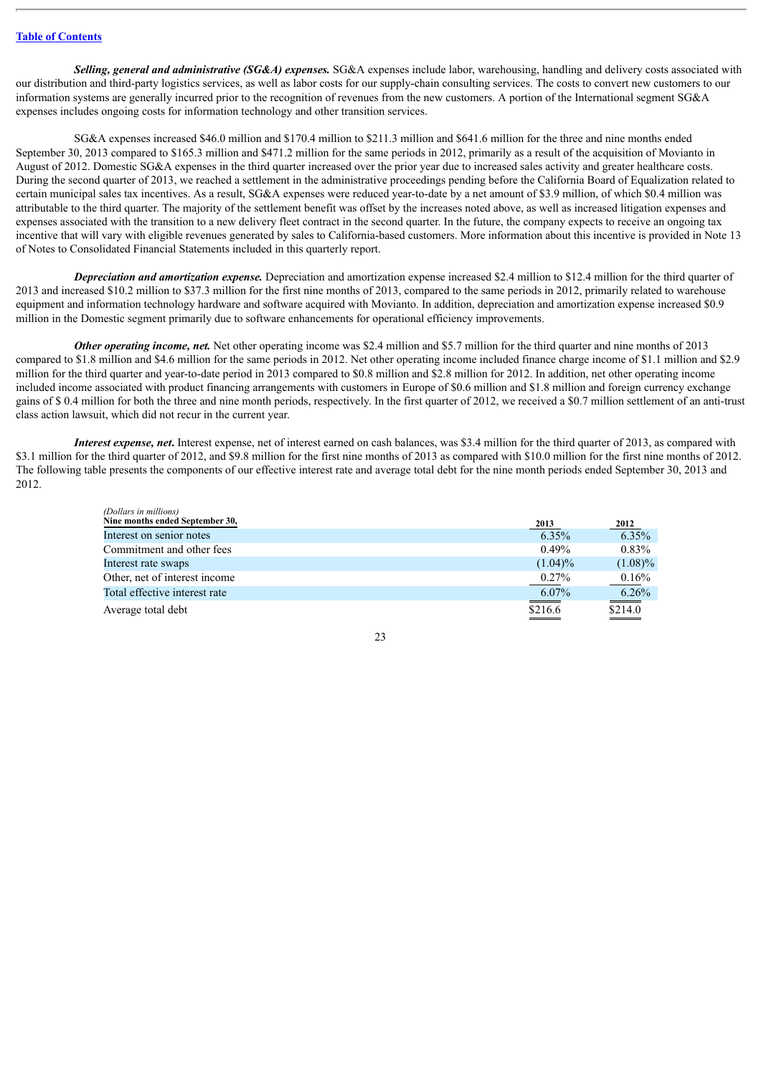*Selling, general and administrative (SG&A) expenses.* SG&A expenses include labor, warehousing, handling and delivery costs associated with our distribution and third-party logistics services, as well as labor costs for our supply-chain consulting services. The costs to convert new customers to our information systems are generally incurred prior to the recognition of revenues from the new customers. A portion of the International segment SG&A expenses includes ongoing costs for information technology and other transition services.

SG&A expenses increased \$46.0 million and \$170.4 million to \$211.3 million and \$641.6 million for the three and nine months ended September 30, 2013 compared to \$165.3 million and \$471.2 million for the same periods in 2012, primarily as a result of the acquisition of Movianto in August of 2012. Domestic SG&A expenses in the third quarter increased over the prior year due to increased sales activity and greater healthcare costs. During the second quarter of 2013, we reached a settlement in the administrative proceedings pending before the California Board of Equalization related to certain municipal sales tax incentives. As a result, SG&A expenses were reduced year-to-date by a net amount of \$3.9 million, of which \$0.4 million was attributable to the third quarter. The majority of the settlement benefit was offset by the increases noted above, as well as increased litigation expenses and expenses associated with the transition to a new delivery fleet contract in the second quarter. In the future, the company expects to receive an ongoing tax incentive that will vary with eligible revenues generated by sales to California-based customers. More information about this incentive is provided in Note 13 of Notes to Consolidated Financial Statements included in this quarterly report.

*Depreciation and amortization expense.* Depreciation and amortization expense increased \$2.4 million to \$12.4 million for the third quarter of 2013 and increased \$10.2 million to \$37.3 million for the first nine months of 2013, compared to the same periods in 2012, primarily related to warehouse equipment and information technology hardware and software acquired with Movianto. In addition, depreciation and amortization expense increased \$0.9 million in the Domestic segment primarily due to software enhancements for operational efficiency improvements.

*Other operating income, net.* Net other operating income was \$2.4 million and \$5.7 million for the third quarter and nine months of 2013 compared to \$1.8 million and \$4.6 million for the same periods in 2012. Net other operating income included finance charge income of \$1.1 million and \$2.9 million for the third quarter and year-to-date period in 2013 compared to \$0.8 million and \$2.8 million for 2012. In addition, net other operating income included income associated with product financing arrangements with customers in Europe of \$0.6 million and \$1.8 million and foreign currency exchange gains of \$ 0.4 million for both the three and nine month periods, respectively. In the first quarter of 2012, we received a \$0.7 million settlement of an anti-trust class action lawsuit, which did not recur in the current year.

*Interest expense, net***.** Interest expense, net of interest earned on cash balances, was \$3.4 million for the third quarter of 2013, as compared with \$3.1 million for the third quarter of 2012, and \$9.8 million for the first nine months of 2013 as compared with \$10.0 million for the first nine months of 2012. The following table presents the components of our effective interest rate and average total debt for the nine month periods ended September 30, 2013 and 2012.

| (Dollars in millions)           |            |             |
|---------------------------------|------------|-------------|
| Nine months ended September 30, | 2013       | <b>2012</b> |
| Interest on senior notes        | 6.35%      | 6.35%       |
| Commitment and other fees       | 0.49%      | 0.83%       |
| Interest rate swaps             | $(1.04)\%$ | $(1.08)\%$  |
| Other, net of interest income   | $0.27\%$   | 0.16%       |
| Total effective interest rate   | $6.07\%$   | 6.26%       |
| Average total debt              | \$216.6    | \$214.0     |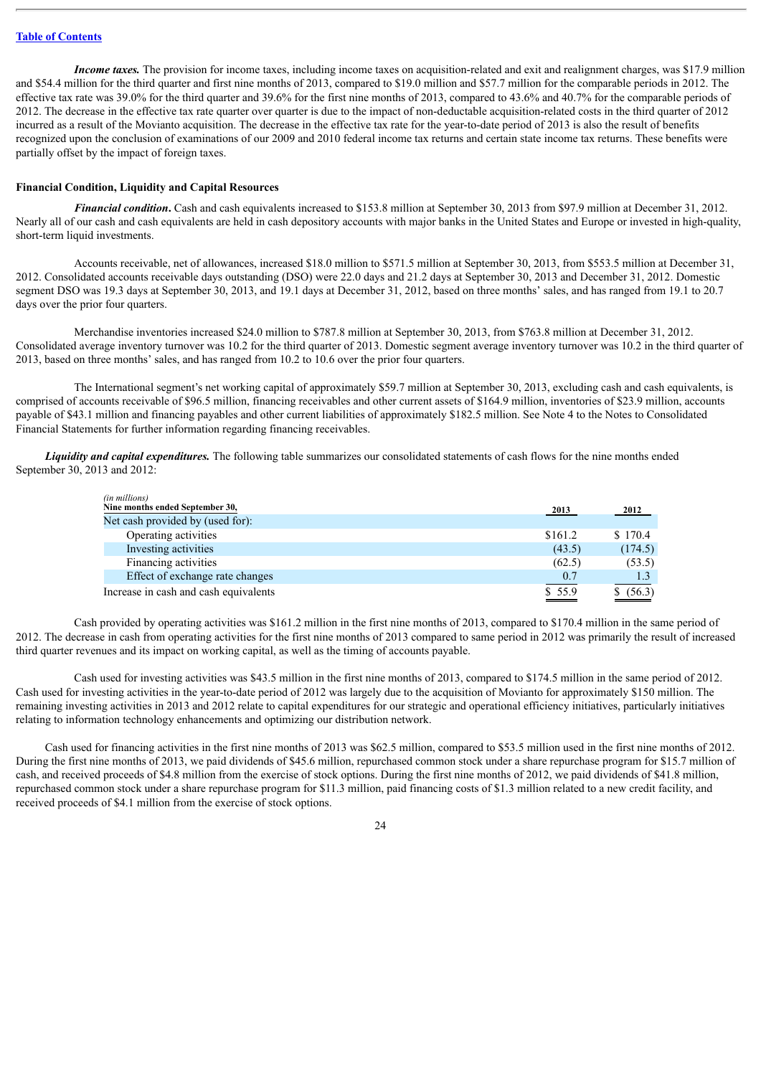*Income taxes.* The provision for income taxes, including income taxes on acquisition-related and exit and realignment charges, was \$17.9 million and \$54.4 million for the third quarter and first nine months of 2013, compared to \$19.0 million and \$57.7 million for the comparable periods in 2012. The effective tax rate was 39.0% for the third quarter and 39.6% for the first nine months of 2013, compared to 43.6% and 40.7% for the comparable periods of 2012. The decrease in the effective tax rate quarter over quarter is due to the impact of non-deductable acquisition-related costs in the third quarter of 2012 incurred as a result of the Movianto acquisition. The decrease in the effective tax rate for the year-to-date period of 2013 is also the result of benefits recognized upon the conclusion of examinations of our 2009 and 2010 federal income tax returns and certain state income tax returns. These benefits were partially offset by the impact of foreign taxes.

#### **Financial Condition, Liquidity and Capital Resources**

*Financial condition***.** Cash and cash equivalents increased to \$153.8 million at September 30, 2013 from \$97.9 million at December 31, 2012. Nearly all of our cash and cash equivalents are held in cash depository accounts with major banks in the United States and Europe or invested in high-quality, short-term liquid investments.

Accounts receivable, net of allowances, increased \$18.0 million to \$571.5 million at September 30, 2013, from \$553.5 million at December 31, 2012. Consolidated accounts receivable days outstanding (DSO) were 22.0 days and 21.2 days at September 30, 2013 and December 31, 2012. Domestic segment DSO was 19.3 days at September 30, 2013, and 19.1 days at December 31, 2012, based on three months' sales, and has ranged from 19.1 to 20.7 days over the prior four quarters.

Merchandise inventories increased \$24.0 million to \$787.8 million at September 30, 2013, from \$763.8 million at December 31, 2012. Consolidated average inventory turnover was 10.2 for the third quarter of 2013. Domestic segment average inventory turnover was 10.2 in the third quarter of 2013, based on three months' sales, and has ranged from 10.2 to 10.6 over the prior four quarters.

The International segment's net working capital of approximately \$59.7 million at September 30, 2013, excluding cash and cash equivalents, is comprised of accounts receivable of \$96.5 million, financing receivables and other current assets of \$164.9 million, inventories of \$23.9 million, accounts payable of \$43.1 million and financing payables and other current liabilities of approximately \$182.5 million. See Note 4 to the Notes to Consolidated Financial Statements for further information regarding financing receivables.

*Liquidity and capital expenditures.* The following table summarizes our consolidated statements of cash flows for the nine months ended September 30, 2013 and 2012:

| (in millions)                         |         |         |
|---------------------------------------|---------|---------|
| Nine months ended September 30,       | 2013    | 2012    |
| Net cash provided by (used for):      |         |         |
| Operating activities                  | \$161.2 | \$170.4 |
| Investing activities                  | (43.5)  | (174.5) |
| Financing activities                  | (62.5)  | (53.5)  |
| Effect of exchange rate changes       | 0.7     |         |
| Increase in cash and cash equivalents | \$55.9  | (56.3)  |
|                                       |         |         |

Cash provided by operating activities was \$161.2 million in the first nine months of 2013, compared to \$170.4 million in the same period of 2012. The decrease in cash from operating activities for the first nine months of 2013 compared to same period in 2012 was primarily the result of increased third quarter revenues and its impact on working capital, as well as the timing of accounts payable.

Cash used for investing activities was \$43.5 million in the first nine months of 2013, compared to \$174.5 million in the same period of 2012. Cash used for investing activities in the year-to-date period of 2012 was largely due to the acquisition of Movianto for approximately \$150 million. The remaining investing activities in 2013 and 2012 relate to capital expenditures for our strategic and operational efficiency initiatives, particularly initiatives relating to information technology enhancements and optimizing our distribution network.

Cash used for financing activities in the first nine months of 2013 was \$62.5 million, compared to \$53.5 million used in the first nine months of 2012. During the first nine months of 2013, we paid dividends of \$45.6 million, repurchased common stock under a share repurchase program for \$15.7 million of cash, and received proceeds of \$4.8 million from the exercise of stock options. During the first nine months of 2012, we paid dividends of \$41.8 million, repurchased common stock under a share repurchase program for \$11.3 million, paid financing costs of \$1.3 million related to a new credit facility, and received proceeds of \$4.1 million from the exercise of stock options.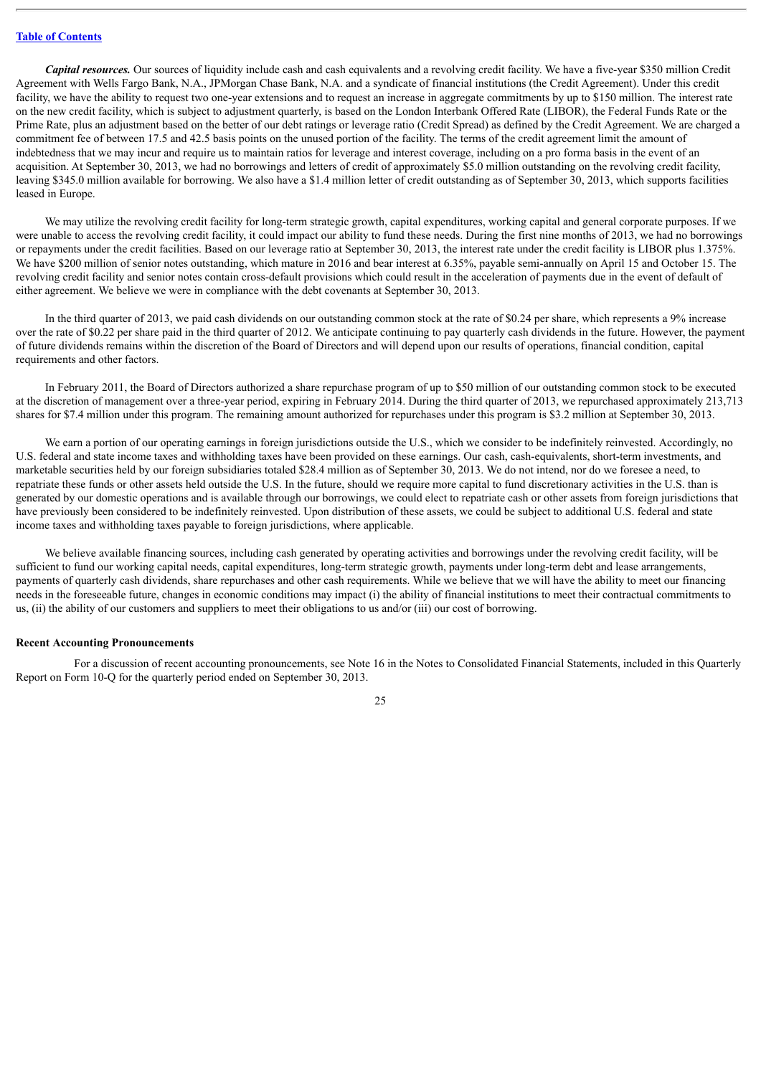*Capital resources.* Our sources of liquidity include cash and cash equivalents and a revolving credit facility. We have a five-year \$350 million Credit Agreement with Wells Fargo Bank, N.A., JPMorgan Chase Bank, N.A. and a syndicate of financial institutions (the Credit Agreement). Under this credit facility, we have the ability to request two one-year extensions and to request an increase in aggregate commitments by up to \$150 million. The interest rate on the new credit facility, which is subject to adjustment quarterly, is based on the London Interbank Offered Rate (LIBOR), the Federal Funds Rate or the Prime Rate, plus an adjustment based on the better of our debt ratings or leverage ratio (Credit Spread) as defined by the Credit Agreement. We are charged a commitment fee of between 17.5 and 42.5 basis points on the unused portion of the facility. The terms of the credit agreement limit the amount of indebtedness that we may incur and require us to maintain ratios for leverage and interest coverage, including on a pro forma basis in the event of an acquisition. At September 30, 2013, we had no borrowings and letters of credit of approximately \$5.0 million outstanding on the revolving credit facility, leaving \$345.0 million available for borrowing. We also have a \$1.4 million letter of credit outstanding as of September 30, 2013, which supports facilities leased in Europe.

We may utilize the revolving credit facility for long-term strategic growth, capital expenditures, working capital and general corporate purposes. If we were unable to access the revolving credit facility, it could impact our ability to fund these needs. During the first nine months of 2013, we had no borrowings or repayments under the credit facilities. Based on our leverage ratio at September 30, 2013, the interest rate under the credit facility is LIBOR plus 1.375%. We have \$200 million of senior notes outstanding, which mature in 2016 and bear interest at 6.35%, payable semi-annually on April 15 and October 15. The revolving credit facility and senior notes contain cross-default provisions which could result in the acceleration of payments due in the event of default of either agreement. We believe we were in compliance with the debt covenants at September 30, 2013.

In the third quarter of 2013, we paid cash dividends on our outstanding common stock at the rate of \$0.24 per share, which represents a 9% increase over the rate of \$0.22 per share paid in the third quarter of 2012. We anticipate continuing to pay quarterly cash dividends in the future. However, the payment of future dividends remains within the discretion of the Board of Directors and will depend upon our results of operations, financial condition, capital requirements and other factors.

In February 2011, the Board of Directors authorized a share repurchase program of up to \$50 million of our outstanding common stock to be executed at the discretion of management over a three-year period, expiring in February 2014. During the third quarter of 2013, we repurchased approximately 213,713 shares for \$7.4 million under this program. The remaining amount authorized for repurchases under this program is \$3.2 million at September 30, 2013.

We earn a portion of our operating earnings in foreign jurisdictions outside the U.S., which we consider to be indefinitely reinvested. Accordingly, no U.S. federal and state income taxes and withholding taxes have been provided on these earnings. Our cash, cash-equivalents, short-term investments, and marketable securities held by our foreign subsidiaries totaled \$28.4 million as of September 30, 2013. We do not intend, nor do we foresee a need, to repatriate these funds or other assets held outside the U.S. In the future, should we require more capital to fund discretionary activities in the U.S. than is generated by our domestic operations and is available through our borrowings, we could elect to repatriate cash or other assets from foreign jurisdictions that have previously been considered to be indefinitely reinvested. Upon distribution of these assets, we could be subject to additional U.S. federal and state income taxes and withholding taxes payable to foreign jurisdictions, where applicable.

We believe available financing sources, including cash generated by operating activities and borrowings under the revolving credit facility, will be sufficient to fund our working capital needs, capital expenditures, long-term strategic growth, payments under long-term debt and lease arrangements, payments of quarterly cash dividends, share repurchases and other cash requirements. While we believe that we will have the ability to meet our financing needs in the foreseeable future, changes in economic conditions may impact (i) the ability of financial institutions to meet their contractual commitments to us, (ii) the ability of our customers and suppliers to meet their obligations to us and/or (iii) our cost of borrowing.

### **Recent Accounting Pronouncements**

For a discussion of recent accounting pronouncements, see Note 16 in the Notes to Consolidated Financial Statements, included in this Quarterly Report on Form 10-Q for the quarterly period ended on September 30, 2013.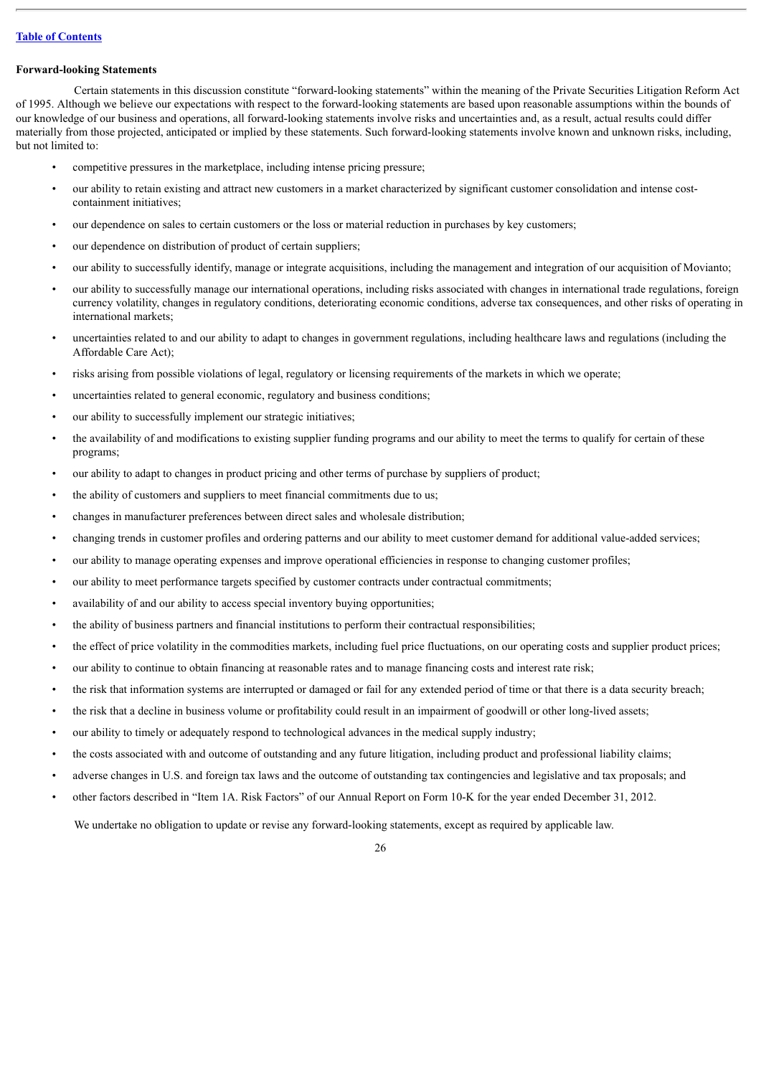#### **Forward-looking Statements**

Certain statements in this discussion constitute "forward-looking statements" within the meaning of the Private Securities Litigation Reform Act of 1995. Although we believe our expectations with respect to the forward-looking statements are based upon reasonable assumptions within the bounds of our knowledge of our business and operations, all forward-looking statements involve risks and uncertainties and, as a result, actual results could differ materially from those projected, anticipated or implied by these statements. Such forward-looking statements involve known and unknown risks, including, but not limited to:

- competitive pressures in the marketplace, including intense pricing pressure;
- our ability to retain existing and attract new customers in a market characterized by significant customer consolidation and intense costcontainment initiatives;
- our dependence on sales to certain customers or the loss or material reduction in purchases by key customers;
- our dependence on distribution of product of certain suppliers;
- our ability to successfully identify, manage or integrate acquisitions, including the management and integration of our acquisition of Movianto;
- our ability to successfully manage our international operations, including risks associated with changes in international trade regulations, foreign currency volatility, changes in regulatory conditions, deteriorating economic conditions, adverse tax consequences, and other risks of operating in international markets;
- uncertainties related to and our ability to adapt to changes in government regulations, including healthcare laws and regulations (including the Affordable Care Act);
- risks arising from possible violations of legal, regulatory or licensing requirements of the markets in which we operate;
- uncertainties related to general economic, regulatory and business conditions;
- our ability to successfully implement our strategic initiatives;
- the availability of and modifications to existing supplier funding programs and our ability to meet the terms to qualify for certain of these programs;
- our ability to adapt to changes in product pricing and other terms of purchase by suppliers of product;
- the ability of customers and suppliers to meet financial commitments due to us;
- changes in manufacturer preferences between direct sales and wholesale distribution;
- changing trends in customer profiles and ordering patterns and our ability to meet customer demand for additional value-added services;
- our ability to manage operating expenses and improve operational efficiencies in response to changing customer profiles;
- our ability to meet performance targets specified by customer contracts under contractual commitments;
- availability of and our ability to access special inventory buying opportunities;
- the ability of business partners and financial institutions to perform their contractual responsibilities;
- the effect of price volatility in the commodities markets, including fuel price fluctuations, on our operating costs and supplier product prices;
- our ability to continue to obtain financing at reasonable rates and to manage financing costs and interest rate risk;
- the risk that information systems are interrupted or damaged or fail for any extended period of time or that there is a data security breach;
- the risk that a decline in business volume or profitability could result in an impairment of goodwill or other long-lived assets;
- our ability to timely or adequately respond to technological advances in the medical supply industry;
- the costs associated with and outcome of outstanding and any future litigation, including product and professional liability claims;
- adverse changes in U.S. and foreign tax laws and the outcome of outstanding tax contingencies and legislative and tax proposals; and
- other factors described in "Item 1A. Risk Factors" of our Annual Report on Form 10-K for the year ended December 31, 2012.

We undertake no obligation to update or revise any forward-looking statements, except as required by applicable law.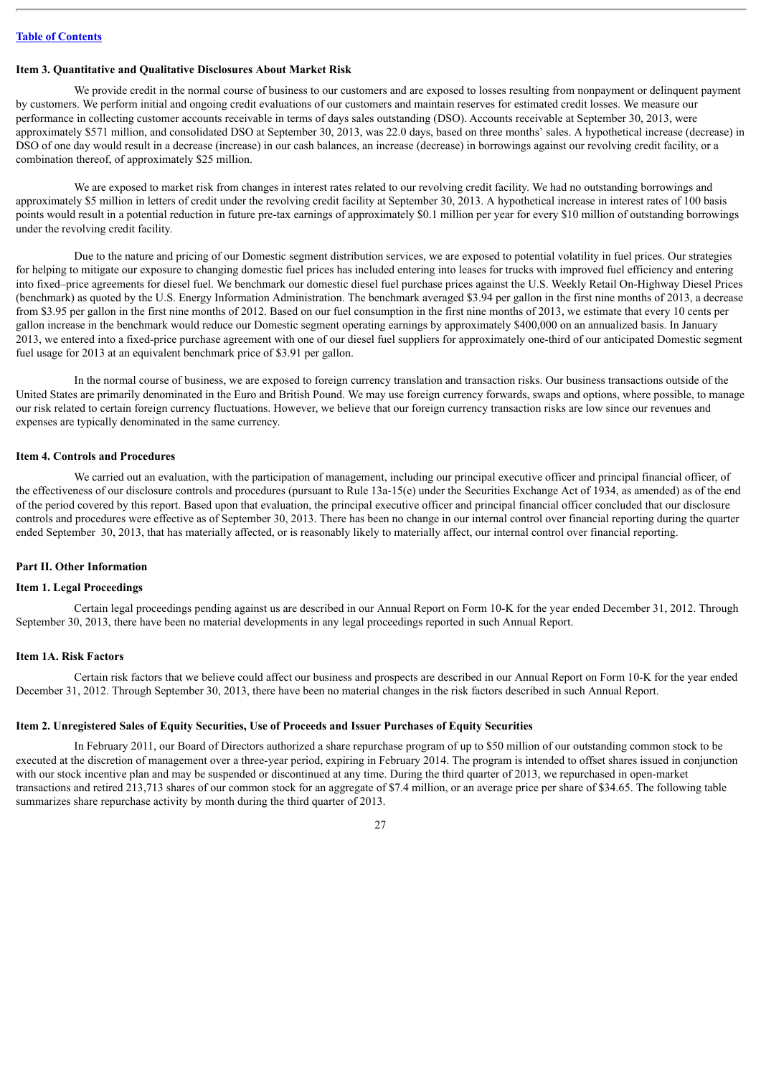### <span id="page-26-0"></span>**Item 3. Quantitative and Qualitative Disclosures About Market Risk**

We provide credit in the normal course of business to our customers and are exposed to losses resulting from nonpayment or delinquent payment by customers. We perform initial and ongoing credit evaluations of our customers and maintain reserves for estimated credit losses. We measure our performance in collecting customer accounts receivable in terms of days sales outstanding (DSO). Accounts receivable at September 30, 2013, were approximately \$571 million, and consolidated DSO at September 30, 2013, was 22.0 days, based on three months' sales. A hypothetical increase (decrease) in DSO of one day would result in a decrease (increase) in our cash balances, an increase (decrease) in borrowings against our revolving credit facility, or a combination thereof, of approximately \$25 million.

We are exposed to market risk from changes in interest rates related to our revolving credit facility. We had no outstanding borrowings and approximately \$5 million in letters of credit under the revolving credit facility at September 30, 2013. A hypothetical increase in interest rates of 100 basis points would result in a potential reduction in future pre-tax earnings of approximately \$0.1 million per year for every \$10 million of outstanding borrowings under the revolving credit facility.

Due to the nature and pricing of our Domestic segment distribution services, we are exposed to potential volatility in fuel prices. Our strategies for helping to mitigate our exposure to changing domestic fuel prices has included entering into leases for trucks with improved fuel efficiency and entering into fixed–price agreements for diesel fuel. We benchmark our domestic diesel fuel purchase prices against the U.S. Weekly Retail On-Highway Diesel Prices (benchmark) as quoted by the U.S. Energy Information Administration. The benchmark averaged \$3.94 per gallon in the first nine months of 2013, a decrease from \$3.95 per gallon in the first nine months of 2012. Based on our fuel consumption in the first nine months of 2013, we estimate that every 10 cents per gallon increase in the benchmark would reduce our Domestic segment operating earnings by approximately \$400,000 on an annualized basis. In January 2013, we entered into a fixed-price purchase agreement with one of our diesel fuel suppliers for approximately one-third of our anticipated Domestic segment fuel usage for 2013 at an equivalent benchmark price of \$3.91 per gallon.

In the normal course of business, we are exposed to foreign currency translation and transaction risks. Our business transactions outside of the United States are primarily denominated in the Euro and British Pound. We may use foreign currency forwards, swaps and options, where possible, to manage our risk related to certain foreign currency fluctuations. However, we believe that our foreign currency transaction risks are low since our revenues and expenses are typically denominated in the same currency.

#### <span id="page-26-1"></span>**Item 4. Controls and Procedures**

We carried out an evaluation, with the participation of management, including our principal executive officer and principal financial officer, of the effectiveness of our disclosure controls and procedures (pursuant to Rule 13a-15(e) under the Securities Exchange Act of 1934, as amended) as of the end of the period covered by this report. Based upon that evaluation, the principal executive officer and principal financial officer concluded that our disclosure controls and procedures were effective as of September 30, 2013. There has been no change in our internal control over financial reporting during the quarter ended September 30, 2013, that has materially affected, or is reasonably likely to materially affect, our internal control over financial reporting.

#### <span id="page-26-2"></span>**Part II. Other Information**

#### <span id="page-26-3"></span>**Item 1. Legal Proceedings**

Certain legal proceedings pending against us are described in our Annual Report on Form 10-K for the year ended December 31, 2012. Through September 30, 2013, there have been no material developments in any legal proceedings reported in such Annual Report.

#### <span id="page-26-4"></span>**Item 1A. Risk Factors**

Certain risk factors that we believe could affect our business and prospects are described in our Annual Report on Form 10-K for the year ended December 31, 2012. Through September 30, 2013, there have been no material changes in the risk factors described in such Annual Report.

### <span id="page-26-5"></span>**Item 2. Unregistered Sales of Equity Securities, Use of Proceeds and Issuer Purchases of Equity Securities**

In February 2011, our Board of Directors authorized a share repurchase program of up to \$50 million of our outstanding common stock to be executed at the discretion of management over a three-year period, expiring in February 2014. The program is intended to offset shares issued in conjunction with our stock incentive plan and may be suspended or discontinued at any time. During the third quarter of 2013, we repurchased in open-market transactions and retired 213,713 shares of our common stock for an aggregate of \$7.4 million, or an average price per share of \$34.65. The following table summarizes share repurchase activity by month during the third quarter of 2013.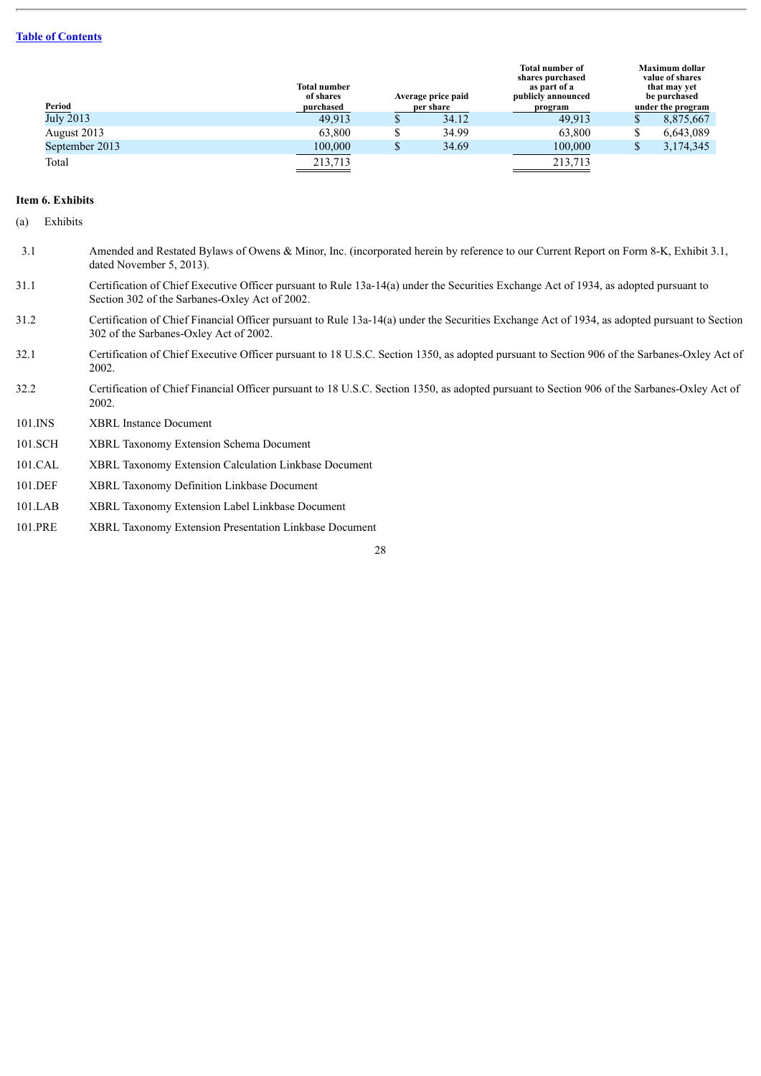| Period                          | <b>Total number</b><br>of shares<br>purchased |    | Average price paid<br>per share | <b>Total number of</b><br>shares purchased<br>as part of a<br>publicly announced<br>program |    | Maximum dollar<br>value of shares<br>that may yet<br>be purchased<br>under the program |
|---------------------------------|-----------------------------------------------|----|---------------------------------|---------------------------------------------------------------------------------------------|----|----------------------------------------------------------------------------------------|
| $\overline{\mathrm{July}}$ 2013 | 49.913                                        | ψ  | 34.12                           | 49.913                                                                                      | Φ  | 8,875,667                                                                              |
| August 2013                     | 63.800                                        |    | 34.99                           | 63.800                                                                                      |    | 6,643,089                                                                              |
| September 2013                  | 100,000                                       | ٦U | 34.69                           | 100,000                                                                                     | \$ | 3,174,345                                                                              |
| Total                           | 213,713                                       |    |                                 | 213,713                                                                                     |    |                                                                                        |

### <span id="page-27-0"></span>**Item 6. Exhibits**

(a) Exhibits

3.1 Amended and Restated Bylaws of Owens & Minor, Inc. (incorporated herein by reference to our Current Report on Form 8-K, Exhibit 3.1, dated November 5, 2013). 31.1 Certification of Chief Executive Officer pursuant to Rule 13a-14(a) under the Securities Exchange Act of 1934, as adopted pursuant to Section 302 of the Sarbanes-Oxley Act of 2002. 31.2 Certification of Chief Financial Officer pursuant to Rule 13a-14(a) under the Securities Exchange Act of 1934, as adopted pursuant to Section 302 of the Sarbanes-Oxley Act of 2002. 32.1 Certification of Chief Executive Officer pursuant to 18 U.S.C. Section 1350, as adopted pursuant to Section 906 of the Sarbanes-Oxley Act of 2002. 32.2 Certification of Chief Financial Officer pursuant to 18 U.S.C. Section 1350, as adopted pursuant to Section 906 of the Sarbanes-Oxley Act of 2002. 101.INS XBRL Instance Document 101.SCH XBRL Taxonomy Extension Schema Document 101.CAL XBRL Taxonomy Extension Calculation Linkbase Document 101.DEF XBRL Taxonomy Definition Linkbase Document 101.LAB XBRL Taxonomy Extension Label Linkbase Document 101.PRE XBRL Taxonomy Extension Presentation Linkbase Document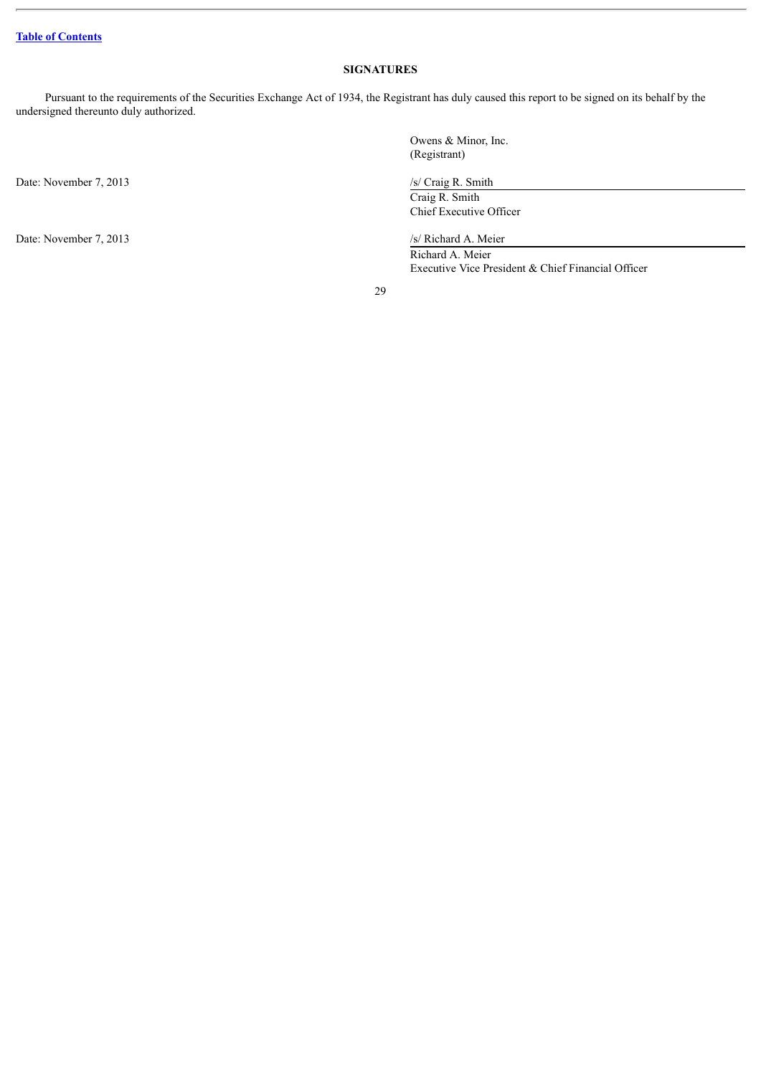### **SIGNATURES**

Pursuant to the requirements of the Securities Exchange Act of 1934, the Registrant has duly caused this report to be signed on its behalf by the undersigned thereunto duly authorized.

Date: November 7, 2013 /s/ Craig R. Smith

Date: November 7, 2013 /s/ Richard A. Meier

Owens & Minor, Inc. (Registrant)

Craig R. Smith Chief Executive Officer

Richard A. Meier Executive Vice President & Chief Financial Officer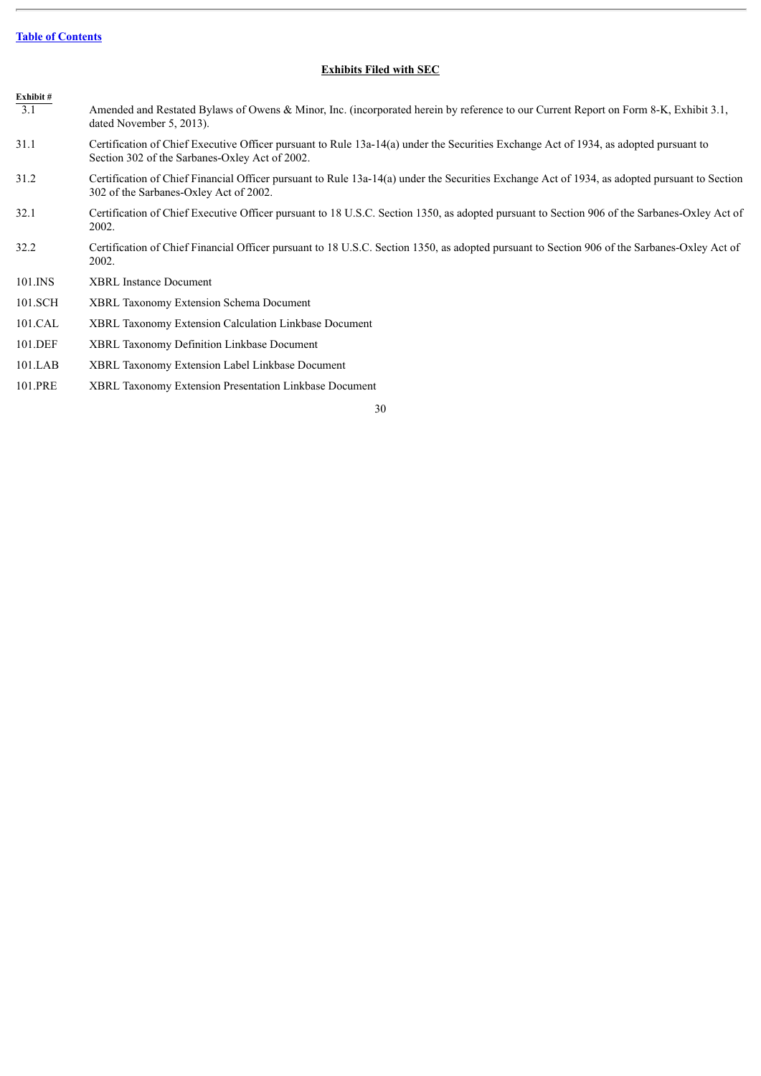### **Exhibits Filed with SEC**

| Exhibit #  |                                                                                                                                                                                         |
|------------|-----------------------------------------------------------------------------------------------------------------------------------------------------------------------------------------|
| 3.1        | Amended and Restated Bylaws of Owens & Minor, Inc. (incorporated herein by reference to our Current Report on Form 8-K, Exhibit 3.1,<br>dated November 5, 2013).                        |
| 31.1       | Certification of Chief Executive Officer pursuant to Rule 13a-14(a) under the Securities Exchange Act of 1934, as adopted pursuant to<br>Section 302 of the Sarbanes-Oxley Act of 2002. |
| 31.2       | Certification of Chief Financial Officer pursuant to Rule 13a-14(a) under the Securities Exchange Act of 1934, as adopted pursuant to Section<br>302 of the Sarbanes-Oxley Act of 2002. |
| 32.1       | Certification of Chief Executive Officer pursuant to 18 U.S.C. Section 1350, as adopted pursuant to Section 906 of the Sarbanes-Oxley Act of<br>2002.                                   |
| 32.2       | Certification of Chief Financial Officer pursuant to 18 U.S.C. Section 1350, as adopted pursuant to Section 906 of the Sarbanes-Oxley Act of<br>2002.                                   |
| 101.INS    | <b>XBRL</b> Instance Document                                                                                                                                                           |
| 101.SCH    | <b>XBRL Taxonomy Extension Schema Document</b>                                                                                                                                          |
| 101.CAL    | <b>XBRL Taxonomy Extension Calculation Linkbase Document</b>                                                                                                                            |
| 101.DEF    | <b>XBRL Taxonomy Definition Linkbase Document</b>                                                                                                                                       |
| $101$ .LAB | <b>XBRL Taxonomy Extension Label Linkbase Document</b>                                                                                                                                  |

101.PRE XBRL Taxonomy Extension Presentation Linkbase Document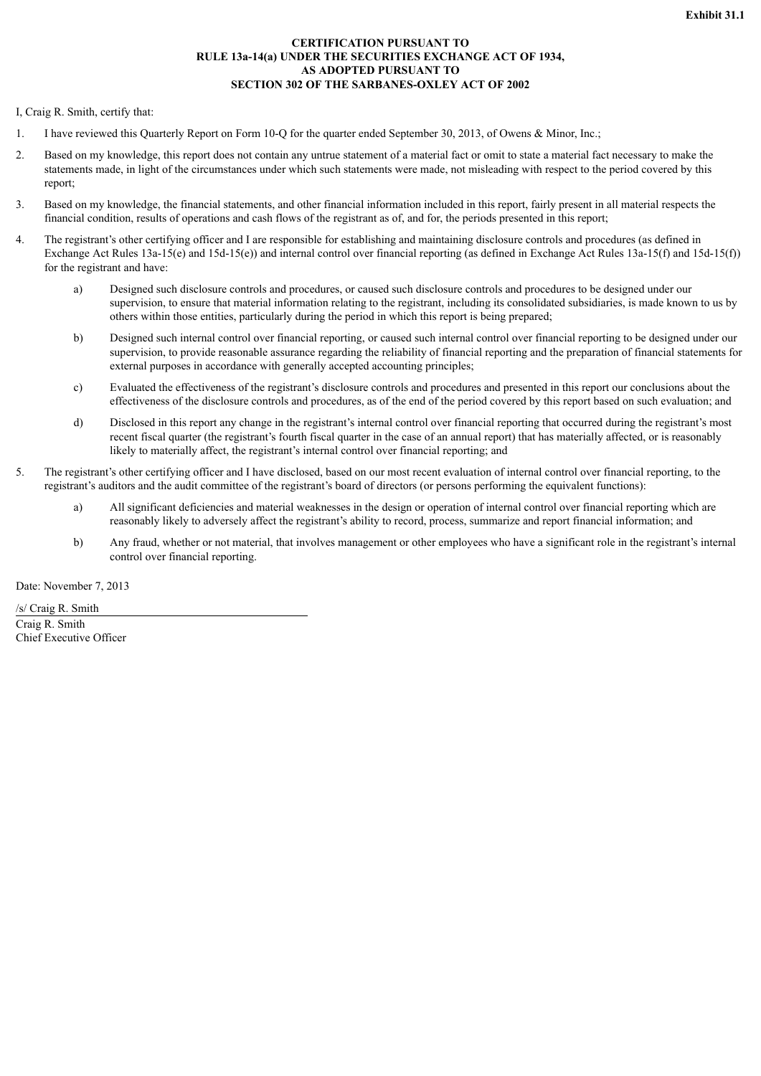### **CERTIFICATION PURSUANT TO RULE 13a-14(a) UNDER THE SECURITIES EXCHANGE ACT OF 1934, AS ADOPTED PURSUANT TO SECTION 302 OF THE SARBANES-OXLEY ACT OF 2002**

I, Craig R. Smith, certify that:

- 1. I have reviewed this Quarterly Report on Form 10-Q for the quarter ended September 30, 2013, of Owens & Minor, Inc.;
- 2. Based on my knowledge, this report does not contain any untrue statement of a material fact or omit to state a material fact necessary to make the statements made, in light of the circumstances under which such statements were made, not misleading with respect to the period covered by this report;
- 3. Based on my knowledge, the financial statements, and other financial information included in this report, fairly present in all material respects the financial condition, results of operations and cash flows of the registrant as of, and for, the periods presented in this report;
- 4. The registrant's other certifying officer and I are responsible for establishing and maintaining disclosure controls and procedures (as defined in Exchange Act Rules 13a-15(e) and 15d-15(e)) and internal control over financial reporting (as defined in Exchange Act Rules 13a-15(f) and 15d-15(f)) for the registrant and have:
	- a) Designed such disclosure controls and procedures, or caused such disclosure controls and procedures to be designed under our supervision, to ensure that material information relating to the registrant, including its consolidated subsidiaries, is made known to us by others within those entities, particularly during the period in which this report is being prepared;
	- b) Designed such internal control over financial reporting, or caused such internal control over financial reporting to be designed under our supervision, to provide reasonable assurance regarding the reliability of financial reporting and the preparation of financial statements for external purposes in accordance with generally accepted accounting principles;
	- c) Evaluated the effectiveness of the registrant's disclosure controls and procedures and presented in this report our conclusions about the effectiveness of the disclosure controls and procedures, as of the end of the period covered by this report based on such evaluation; and
	- d) Disclosed in this report any change in the registrant's internal control over financial reporting that occurred during the registrant's most recent fiscal quarter (the registrant's fourth fiscal quarter in the case of an annual report) that has materially affected, or is reasonably likely to materially affect, the registrant's internal control over financial reporting; and
- 5. The registrant's other certifying officer and I have disclosed, based on our most recent evaluation of internal control over financial reporting, to the registrant's auditors and the audit committee of the registrant's board of directors (or persons performing the equivalent functions):
	- a) All significant deficiencies and material weaknesses in the design or operation of internal control over financial reporting which are reasonably likely to adversely affect the registrant's ability to record, process, summarize and report financial information; and
	- b) Any fraud, whether or not material, that involves management or other employees who have a significant role in the registrant's internal control over financial reporting.

Date: November 7, 2013

/s/ Craig R. Smith Craig R. Smith Chief Executive Officer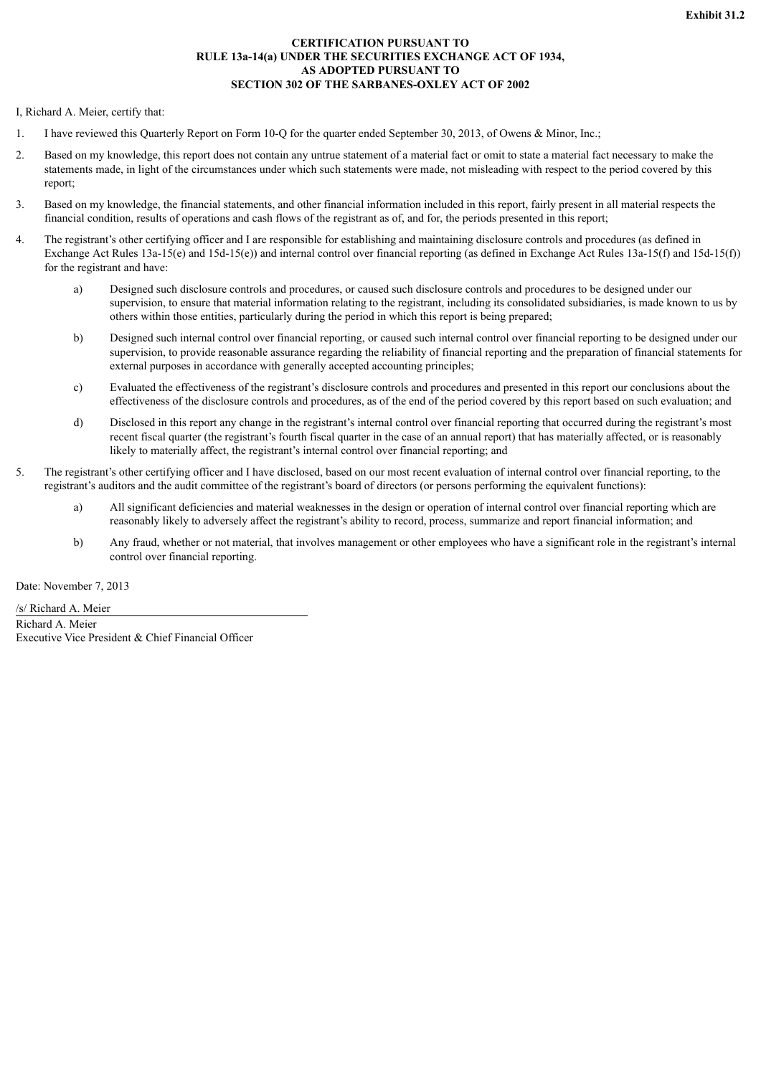### **CERTIFICATION PURSUANT TO RULE 13a-14(a) UNDER THE SECURITIES EXCHANGE ACT OF 1934, AS ADOPTED PURSUANT TO SECTION 302 OF THE SARBANES-OXLEY ACT OF 2002**

I, Richard A. Meier, certify that:

- 1. I have reviewed this Quarterly Report on Form 10-Q for the quarter ended September 30, 2013, of Owens & Minor, Inc.;
- 2. Based on my knowledge, this report does not contain any untrue statement of a material fact or omit to state a material fact necessary to make the statements made, in light of the circumstances under which such statements were made, not misleading with respect to the period covered by this report;
- 3. Based on my knowledge, the financial statements, and other financial information included in this report, fairly present in all material respects the financial condition, results of operations and cash flows of the registrant as of, and for, the periods presented in this report;
- 4. The registrant's other certifying officer and I are responsible for establishing and maintaining disclosure controls and procedures (as defined in Exchange Act Rules 13a-15(e) and 15d-15(e)) and internal control over financial reporting (as defined in Exchange Act Rules 13a-15(f) and 15d-15(f)) for the registrant and have:
	- a) Designed such disclosure controls and procedures, or caused such disclosure controls and procedures to be designed under our supervision, to ensure that material information relating to the registrant, including its consolidated subsidiaries, is made known to us by others within those entities, particularly during the period in which this report is being prepared;
	- b) Designed such internal control over financial reporting, or caused such internal control over financial reporting to be designed under our supervision, to provide reasonable assurance regarding the reliability of financial reporting and the preparation of financial statements for external purposes in accordance with generally accepted accounting principles;
	- c) Evaluated the effectiveness of the registrant's disclosure controls and procedures and presented in this report our conclusions about the effectiveness of the disclosure controls and procedures, as of the end of the period covered by this report based on such evaluation; and
	- d) Disclosed in this report any change in the registrant's internal control over financial reporting that occurred during the registrant's most recent fiscal quarter (the registrant's fourth fiscal quarter in the case of an annual report) that has materially affected, or is reasonably likely to materially affect, the registrant's internal control over financial reporting; and
- 5. The registrant's other certifying officer and I have disclosed, based on our most recent evaluation of internal control over financial reporting, to the registrant's auditors and the audit committee of the registrant's board of directors (or persons performing the equivalent functions):
	- a) All significant deficiencies and material weaknesses in the design or operation of internal control over financial reporting which are reasonably likely to adversely affect the registrant's ability to record, process, summarize and report financial information; and
	- b) Any fraud, whether or not material, that involves management or other employees who have a significant role in the registrant's internal control over financial reporting.

Date: November 7, 2013

/s/ Richard A. Meier Richard A. Meier Executive Vice President & Chief Financial Officer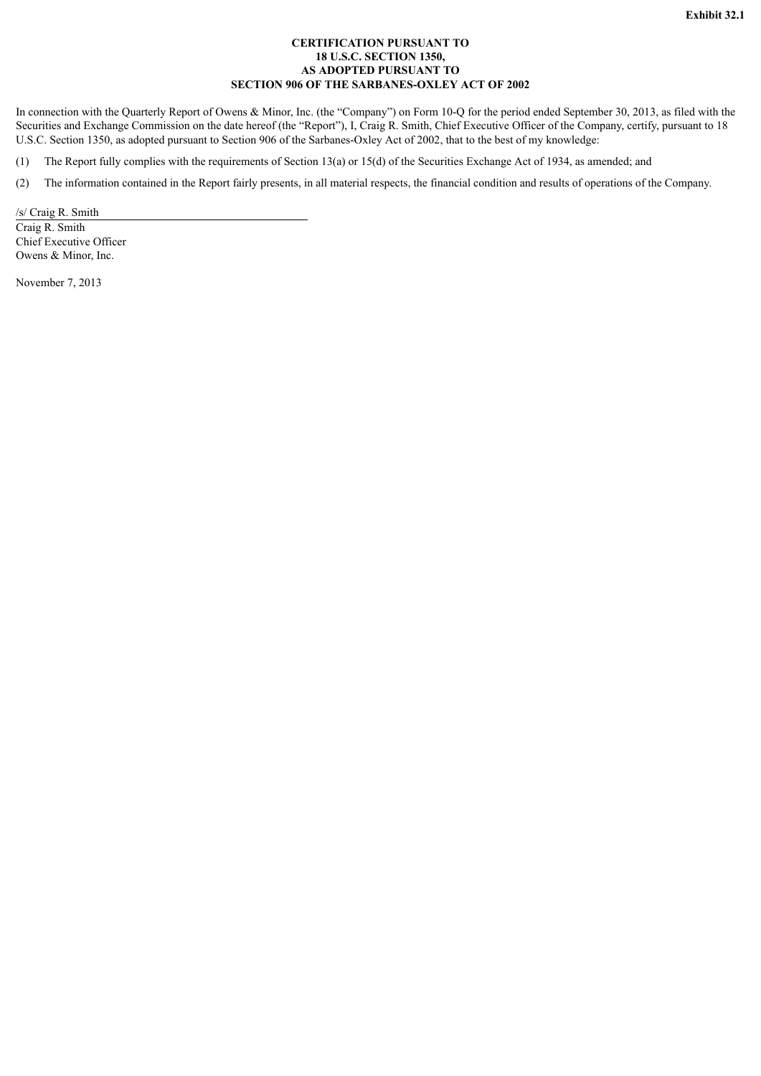### **CERTIFICATION PURSUANT TO 18 U.S.C. SECTION 1350, AS ADOPTED PURSUANT TO SECTION 906 OF THE SARBANES-OXLEY ACT OF 2002**

In connection with the Quarterly Report of Owens & Minor, Inc. (the "Company") on Form 10-Q for the period ended September 30, 2013, as filed with the Securities and Exchange Commission on the date hereof (the "Report"), I, Craig R. Smith, Chief Executive Officer of the Company, certify, pursuant to 18 U.S.C. Section 1350, as adopted pursuant to Section 906 of the Sarbanes-Oxley Act of 2002, that to the best of my knowledge:

(1) The Report fully complies with the requirements of Section 13(a) or 15(d) of the Securities Exchange Act of 1934, as amended; and

(2) The information contained in the Report fairly presents, in all material respects, the financial condition and results of operations of the Company.

/s/ Craig R. Smith

Craig R. Smith Chief Executive Officer Owens & Minor, Inc.

November 7, 2013